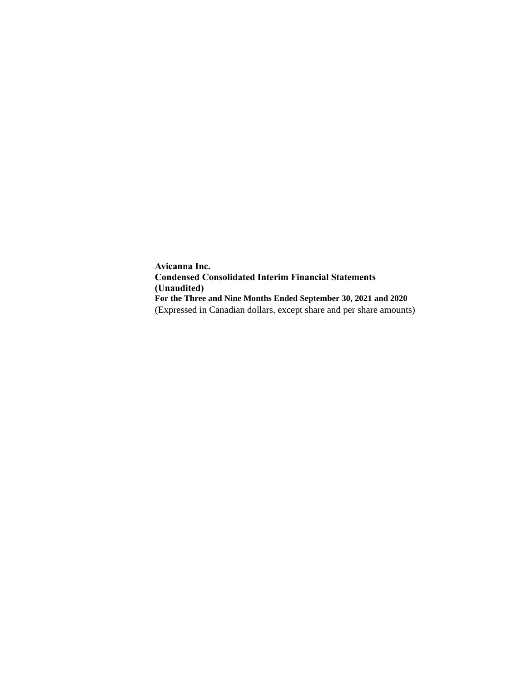**Avicanna Inc. Condensed Consolidated Interim Financial Statements (Unaudited) For the Three and Nine Months Ended September 30, 2021 and 2020** (Expressed in Canadian dollars, except share and per share amounts)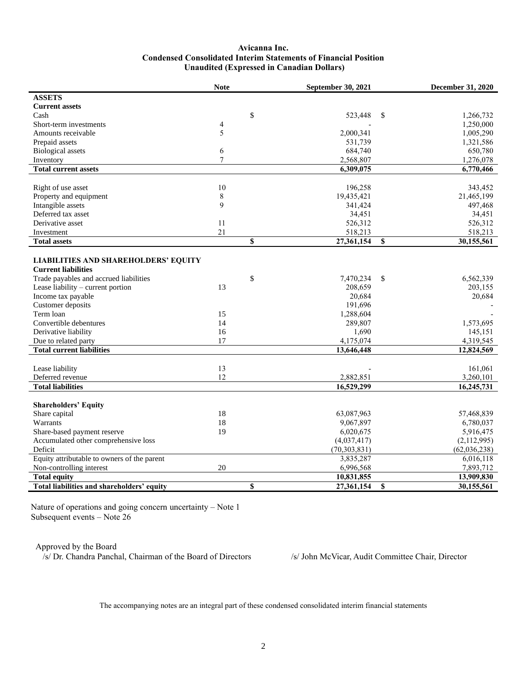### **Avicanna Inc. Condensed Consolidated Interim Statements of Financial Position Unaudited (Expressed in Canadian Dollars)**

| <b>ASSETS</b><br><b>Current assets</b><br>\$<br>Cash<br>523,448<br>\$<br>1,266,732<br>Short-term investments<br>4<br>1,250,000<br>5<br>2,000,341<br>Amounts receivable<br>1,005,290<br>531,739<br>1,321,586<br>Prepaid assets<br><b>Biological</b> assets<br>6<br>684,740<br>650,780<br>$\tau$<br>2,568,807<br>1,276,078<br>Inventory<br><b>Total current assets</b><br>6,770,466<br>6,309,075<br>10<br>196,258<br>343,452<br>Right of use asset<br>Property and equipment<br>8<br>19,435,421<br>21,465,199<br>9<br>Intangible assets<br>341,424<br>497,468<br>Deferred tax asset<br>34,451<br>34,451<br>Derivative asset<br>11<br>526,312<br>526,312<br>21<br>518,213<br>518,213<br>Investment<br>\$<br><b>Total assets</b><br>27,361,154<br>30,155,561<br>\$<br><b>LIABILITIES AND SHAREHOLDERS' EQUITY</b><br><b>Current liabilities</b><br>Trade payables and accrued liabilities<br>\$<br>7,470,234<br>\$<br>6,562,339<br>Lease liability – current portion<br>203,155<br>13<br>208,659<br>Income tax payable<br>20,684<br>20,684<br>191,696<br>Customer deposits<br>Term loan<br>1,288,604<br>15<br>Convertible debentures<br>14<br>289,807<br>1,573,695<br>16<br>1,690<br>145,151<br>Derivative liability<br>17<br>Due to related party<br>4,175,074<br>4,319,545<br><b>Total current liabilities</b><br>13,646,448<br>12,824,569<br>Lease liability<br>13<br>161,061<br>12<br>Deferred revenue<br>2,882,851<br>3,260,101<br><b>Total liabilities</b><br>16,529,299<br>16,245,731<br><b>Shareholders' Equity</b><br>18<br>63,087,963<br>57,468,839<br>Share capital<br>18<br>Warrants<br>9,067,897<br>6,780,037<br>19<br>Share-based payment reserve<br>6,020,675<br>5,916,475<br>Accumulated other comprehensive loss<br>(4,037,417)<br>(2,112,995)<br>Deficit<br>(70, 303, 831)<br>(62,036,238)<br>Equity attributable to owners of the parent<br>6,016,118<br>3,835,287<br>20<br>6,996,568<br>7,893,712<br>Non-controlling interest<br><b>Total equity</b><br>10,831,855<br>13,909,830<br>\$<br>\$<br>Total liabilities and shareholders' equity<br>27,361,154<br>30,155,561 | <b>Note</b> | September 30, 2021 | December 31, 2020 |
|----------------------------------------------------------------------------------------------------------------------------------------------------------------------------------------------------------------------------------------------------------------------------------------------------------------------------------------------------------------------------------------------------------------------------------------------------------------------------------------------------------------------------------------------------------------------------------------------------------------------------------------------------------------------------------------------------------------------------------------------------------------------------------------------------------------------------------------------------------------------------------------------------------------------------------------------------------------------------------------------------------------------------------------------------------------------------------------------------------------------------------------------------------------------------------------------------------------------------------------------------------------------------------------------------------------------------------------------------------------------------------------------------------------------------------------------------------------------------------------------------------------------------------------------------------------------------------------------------------------------------------------------------------------------------------------------------------------------------------------------------------------------------------------------------------------------------------------------------------------------------------------------------------------------------------------------------------------------------------------------------------------------------------------------------------------------------------------|-------------|--------------------|-------------------|
|                                                                                                                                                                                                                                                                                                                                                                                                                                                                                                                                                                                                                                                                                                                                                                                                                                                                                                                                                                                                                                                                                                                                                                                                                                                                                                                                                                                                                                                                                                                                                                                                                                                                                                                                                                                                                                                                                                                                                                                                                                                                                        |             |                    |                   |
|                                                                                                                                                                                                                                                                                                                                                                                                                                                                                                                                                                                                                                                                                                                                                                                                                                                                                                                                                                                                                                                                                                                                                                                                                                                                                                                                                                                                                                                                                                                                                                                                                                                                                                                                                                                                                                                                                                                                                                                                                                                                                        |             |                    |                   |
|                                                                                                                                                                                                                                                                                                                                                                                                                                                                                                                                                                                                                                                                                                                                                                                                                                                                                                                                                                                                                                                                                                                                                                                                                                                                                                                                                                                                                                                                                                                                                                                                                                                                                                                                                                                                                                                                                                                                                                                                                                                                                        |             |                    |                   |
|                                                                                                                                                                                                                                                                                                                                                                                                                                                                                                                                                                                                                                                                                                                                                                                                                                                                                                                                                                                                                                                                                                                                                                                                                                                                                                                                                                                                                                                                                                                                                                                                                                                                                                                                                                                                                                                                                                                                                                                                                                                                                        |             |                    |                   |
|                                                                                                                                                                                                                                                                                                                                                                                                                                                                                                                                                                                                                                                                                                                                                                                                                                                                                                                                                                                                                                                                                                                                                                                                                                                                                                                                                                                                                                                                                                                                                                                                                                                                                                                                                                                                                                                                                                                                                                                                                                                                                        |             |                    |                   |
|                                                                                                                                                                                                                                                                                                                                                                                                                                                                                                                                                                                                                                                                                                                                                                                                                                                                                                                                                                                                                                                                                                                                                                                                                                                                                                                                                                                                                                                                                                                                                                                                                                                                                                                                                                                                                                                                                                                                                                                                                                                                                        |             |                    |                   |
|                                                                                                                                                                                                                                                                                                                                                                                                                                                                                                                                                                                                                                                                                                                                                                                                                                                                                                                                                                                                                                                                                                                                                                                                                                                                                                                                                                                                                                                                                                                                                                                                                                                                                                                                                                                                                                                                                                                                                                                                                                                                                        |             |                    |                   |
|                                                                                                                                                                                                                                                                                                                                                                                                                                                                                                                                                                                                                                                                                                                                                                                                                                                                                                                                                                                                                                                                                                                                                                                                                                                                                                                                                                                                                                                                                                                                                                                                                                                                                                                                                                                                                                                                                                                                                                                                                                                                                        |             |                    |                   |
|                                                                                                                                                                                                                                                                                                                                                                                                                                                                                                                                                                                                                                                                                                                                                                                                                                                                                                                                                                                                                                                                                                                                                                                                                                                                                                                                                                                                                                                                                                                                                                                                                                                                                                                                                                                                                                                                                                                                                                                                                                                                                        |             |                    |                   |
|                                                                                                                                                                                                                                                                                                                                                                                                                                                                                                                                                                                                                                                                                                                                                                                                                                                                                                                                                                                                                                                                                                                                                                                                                                                                                                                                                                                                                                                                                                                                                                                                                                                                                                                                                                                                                                                                                                                                                                                                                                                                                        |             |                    |                   |
|                                                                                                                                                                                                                                                                                                                                                                                                                                                                                                                                                                                                                                                                                                                                                                                                                                                                                                                                                                                                                                                                                                                                                                                                                                                                                                                                                                                                                                                                                                                                                                                                                                                                                                                                                                                                                                                                                                                                                                                                                                                                                        |             |                    |                   |
|                                                                                                                                                                                                                                                                                                                                                                                                                                                                                                                                                                                                                                                                                                                                                                                                                                                                                                                                                                                                                                                                                                                                                                                                                                                                                                                                                                                                                                                                                                                                                                                                                                                                                                                                                                                                                                                                                                                                                                                                                                                                                        |             |                    |                   |
|                                                                                                                                                                                                                                                                                                                                                                                                                                                                                                                                                                                                                                                                                                                                                                                                                                                                                                                                                                                                                                                                                                                                                                                                                                                                                                                                                                                                                                                                                                                                                                                                                                                                                                                                                                                                                                                                                                                                                                                                                                                                                        |             |                    |                   |
|                                                                                                                                                                                                                                                                                                                                                                                                                                                                                                                                                                                                                                                                                                                                                                                                                                                                                                                                                                                                                                                                                                                                                                                                                                                                                                                                                                                                                                                                                                                                                                                                                                                                                                                                                                                                                                                                                                                                                                                                                                                                                        |             |                    |                   |
|                                                                                                                                                                                                                                                                                                                                                                                                                                                                                                                                                                                                                                                                                                                                                                                                                                                                                                                                                                                                                                                                                                                                                                                                                                                                                                                                                                                                                                                                                                                                                                                                                                                                                                                                                                                                                                                                                                                                                                                                                                                                                        |             |                    |                   |
|                                                                                                                                                                                                                                                                                                                                                                                                                                                                                                                                                                                                                                                                                                                                                                                                                                                                                                                                                                                                                                                                                                                                                                                                                                                                                                                                                                                                                                                                                                                                                                                                                                                                                                                                                                                                                                                                                                                                                                                                                                                                                        |             |                    |                   |
|                                                                                                                                                                                                                                                                                                                                                                                                                                                                                                                                                                                                                                                                                                                                                                                                                                                                                                                                                                                                                                                                                                                                                                                                                                                                                                                                                                                                                                                                                                                                                                                                                                                                                                                                                                                                                                                                                                                                                                                                                                                                                        |             |                    |                   |
|                                                                                                                                                                                                                                                                                                                                                                                                                                                                                                                                                                                                                                                                                                                                                                                                                                                                                                                                                                                                                                                                                                                                                                                                                                                                                                                                                                                                                                                                                                                                                                                                                                                                                                                                                                                                                                                                                                                                                                                                                                                                                        |             |                    |                   |
|                                                                                                                                                                                                                                                                                                                                                                                                                                                                                                                                                                                                                                                                                                                                                                                                                                                                                                                                                                                                                                                                                                                                                                                                                                                                                                                                                                                                                                                                                                                                                                                                                                                                                                                                                                                                                                                                                                                                                                                                                                                                                        |             |                    |                   |
|                                                                                                                                                                                                                                                                                                                                                                                                                                                                                                                                                                                                                                                                                                                                                                                                                                                                                                                                                                                                                                                                                                                                                                                                                                                                                                                                                                                                                                                                                                                                                                                                                                                                                                                                                                                                                                                                                                                                                                                                                                                                                        |             |                    |                   |
|                                                                                                                                                                                                                                                                                                                                                                                                                                                                                                                                                                                                                                                                                                                                                                                                                                                                                                                                                                                                                                                                                                                                                                                                                                                                                                                                                                                                                                                                                                                                                                                                                                                                                                                                                                                                                                                                                                                                                                                                                                                                                        |             |                    |                   |
|                                                                                                                                                                                                                                                                                                                                                                                                                                                                                                                                                                                                                                                                                                                                                                                                                                                                                                                                                                                                                                                                                                                                                                                                                                                                                                                                                                                                                                                                                                                                                                                                                                                                                                                                                                                                                                                                                                                                                                                                                                                                                        |             |                    |                   |
|                                                                                                                                                                                                                                                                                                                                                                                                                                                                                                                                                                                                                                                                                                                                                                                                                                                                                                                                                                                                                                                                                                                                                                                                                                                                                                                                                                                                                                                                                                                                                                                                                                                                                                                                                                                                                                                                                                                                                                                                                                                                                        |             |                    |                   |
|                                                                                                                                                                                                                                                                                                                                                                                                                                                                                                                                                                                                                                                                                                                                                                                                                                                                                                                                                                                                                                                                                                                                                                                                                                                                                                                                                                                                                                                                                                                                                                                                                                                                                                                                                                                                                                                                                                                                                                                                                                                                                        |             |                    |                   |
|                                                                                                                                                                                                                                                                                                                                                                                                                                                                                                                                                                                                                                                                                                                                                                                                                                                                                                                                                                                                                                                                                                                                                                                                                                                                                                                                                                                                                                                                                                                                                                                                                                                                                                                                                                                                                                                                                                                                                                                                                                                                                        |             |                    |                   |
|                                                                                                                                                                                                                                                                                                                                                                                                                                                                                                                                                                                                                                                                                                                                                                                                                                                                                                                                                                                                                                                                                                                                                                                                                                                                                                                                                                                                                                                                                                                                                                                                                                                                                                                                                                                                                                                                                                                                                                                                                                                                                        |             |                    |                   |
|                                                                                                                                                                                                                                                                                                                                                                                                                                                                                                                                                                                                                                                                                                                                                                                                                                                                                                                                                                                                                                                                                                                                                                                                                                                                                                                                                                                                                                                                                                                                                                                                                                                                                                                                                                                                                                                                                                                                                                                                                                                                                        |             |                    |                   |
|                                                                                                                                                                                                                                                                                                                                                                                                                                                                                                                                                                                                                                                                                                                                                                                                                                                                                                                                                                                                                                                                                                                                                                                                                                                                                                                                                                                                                                                                                                                                                                                                                                                                                                                                                                                                                                                                                                                                                                                                                                                                                        |             |                    |                   |
|                                                                                                                                                                                                                                                                                                                                                                                                                                                                                                                                                                                                                                                                                                                                                                                                                                                                                                                                                                                                                                                                                                                                                                                                                                                                                                                                                                                                                                                                                                                                                                                                                                                                                                                                                                                                                                                                                                                                                                                                                                                                                        |             |                    |                   |
|                                                                                                                                                                                                                                                                                                                                                                                                                                                                                                                                                                                                                                                                                                                                                                                                                                                                                                                                                                                                                                                                                                                                                                                                                                                                                                                                                                                                                                                                                                                                                                                                                                                                                                                                                                                                                                                                                                                                                                                                                                                                                        |             |                    |                   |
|                                                                                                                                                                                                                                                                                                                                                                                                                                                                                                                                                                                                                                                                                                                                                                                                                                                                                                                                                                                                                                                                                                                                                                                                                                                                                                                                                                                                                                                                                                                                                                                                                                                                                                                                                                                                                                                                                                                                                                                                                                                                                        |             |                    |                   |
|                                                                                                                                                                                                                                                                                                                                                                                                                                                                                                                                                                                                                                                                                                                                                                                                                                                                                                                                                                                                                                                                                                                                                                                                                                                                                                                                                                                                                                                                                                                                                                                                                                                                                                                                                                                                                                                                                                                                                                                                                                                                                        |             |                    |                   |
|                                                                                                                                                                                                                                                                                                                                                                                                                                                                                                                                                                                                                                                                                                                                                                                                                                                                                                                                                                                                                                                                                                                                                                                                                                                                                                                                                                                                                                                                                                                                                                                                                                                                                                                                                                                                                                                                                                                                                                                                                                                                                        |             |                    |                   |
|                                                                                                                                                                                                                                                                                                                                                                                                                                                                                                                                                                                                                                                                                                                                                                                                                                                                                                                                                                                                                                                                                                                                                                                                                                                                                                                                                                                                                                                                                                                                                                                                                                                                                                                                                                                                                                                                                                                                                                                                                                                                                        |             |                    |                   |
|                                                                                                                                                                                                                                                                                                                                                                                                                                                                                                                                                                                                                                                                                                                                                                                                                                                                                                                                                                                                                                                                                                                                                                                                                                                                                                                                                                                                                                                                                                                                                                                                                                                                                                                                                                                                                                                                                                                                                                                                                                                                                        |             |                    |                   |
|                                                                                                                                                                                                                                                                                                                                                                                                                                                                                                                                                                                                                                                                                                                                                                                                                                                                                                                                                                                                                                                                                                                                                                                                                                                                                                                                                                                                                                                                                                                                                                                                                                                                                                                                                                                                                                                                                                                                                                                                                                                                                        |             |                    |                   |
|                                                                                                                                                                                                                                                                                                                                                                                                                                                                                                                                                                                                                                                                                                                                                                                                                                                                                                                                                                                                                                                                                                                                                                                                                                                                                                                                                                                                                                                                                                                                                                                                                                                                                                                                                                                                                                                                                                                                                                                                                                                                                        |             |                    |                   |

Nature of operations and going concern uncertainty – Note 1 Subsequent events – Note 26

Approved by the Board

/s/ Dr. Chandra Panchal, Chairman of the Board of Directors /s/ John McVicar, Audit Committee Chair, Director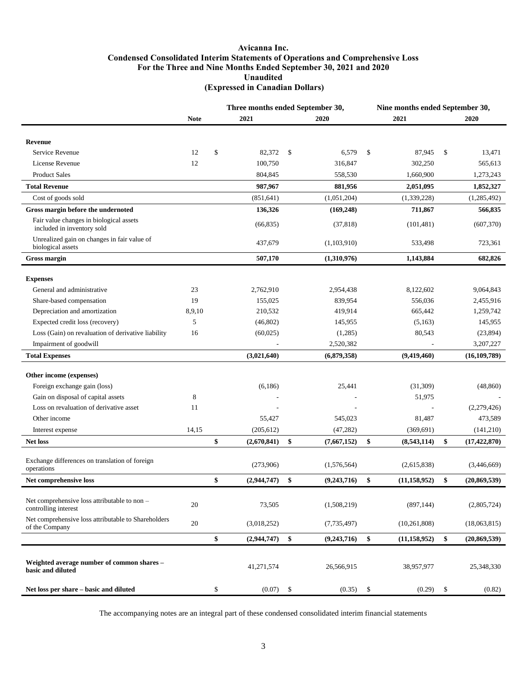### **Avicanna Inc. Condensed Consolidated Interim Statements of Operations and Comprehensive Loss For the Three and Nine Months Ended September 30, 2021 and 2020 Unaudited (Expressed in Canadian Dollars)**

|                                                                       |             | Three months ended September 30, |             |    | Nine months ended September 30, |    |                |    |                |
|-----------------------------------------------------------------------|-------------|----------------------------------|-------------|----|---------------------------------|----|----------------|----|----------------|
|                                                                       | <b>Note</b> |                                  | 2021        |    | 2020                            |    | 2021           |    | 2020           |
|                                                                       |             |                                  |             |    |                                 |    |                |    |                |
| <b>Revenue</b>                                                        |             |                                  |             |    |                                 |    |                |    |                |
| Service Revenue                                                       | 12          | \$                               | 82,372      | \$ | 6,579                           | \$ | 87,945         | \$ | 13,471         |
| License Revenue                                                       | 12          |                                  | 100,750     |    | 316,847                         |    | 302,250        |    | 565,613        |
| <b>Product Sales</b>                                                  |             |                                  | 804,845     |    | 558,530                         |    | 1,660,900      |    | 1,273,243      |
| <b>Total Revenue</b>                                                  |             |                                  | 987,967     |    | 881,956                         |    | 2,051,095      |    | 1,852,327      |
| Cost of goods sold                                                    |             |                                  | (851, 641)  |    | (1,051,204)                     |    | (1,339,228)    |    | (1,285,492)    |
| Gross margin before the undernoted                                    |             |                                  | 136,326     |    | (169, 248)                      |    | 711,867        |    | 566,835        |
| Fair value changes in biological assets<br>included in inventory sold |             |                                  | (66, 835)   |    | (37, 818)                       |    | (101, 481)     |    | (607, 370)     |
| Unrealized gain on changes in fair value of<br>biological assets      |             |                                  | 437,679     |    | (1,103,910)                     |    | 533,498        |    | 723,361        |
| <b>Gross margin</b>                                                   |             |                                  | 507,170     |    | (1,310,976)                     |    | 1,143,884      |    | 682,826        |
|                                                                       |             |                                  |             |    |                                 |    |                |    |                |
| <b>Expenses</b>                                                       |             |                                  |             |    |                                 |    |                |    |                |
| General and administrative                                            | 23          |                                  | 2,762,910   |    | 2,954,438                       |    | 8,122,602      |    | 9,064,843      |
| Share-based compensation                                              | 19          |                                  | 155,025     |    | 839,954                         |    | 556,036        |    | 2,455,916      |
| Depreciation and amortization                                         | 8,9,10      |                                  | 210,532     |    | 419,914                         |    | 665,442        |    | 1,259,742      |
| Expected credit loss (recovery)                                       | 5           |                                  | (46, 802)   |    | 145,955                         |    | (5,163)        |    | 145,955        |
| Loss (Gain) on revaluation of derivative liability                    | 16          |                                  | (60,025)    |    | (1,285)                         |    | 80,543         |    | (23, 894)      |
| Impairment of goodwill                                                |             |                                  |             |    | 2,520,382                       |    |                |    | 3,207,227      |
| <b>Total Expenses</b>                                                 |             |                                  | (3,021,640) |    | (6,879,358)                     |    | (9,419,460)    |    | (16, 109, 789) |
|                                                                       |             |                                  |             |    |                                 |    |                |    |                |
| Other income (expenses)                                               |             |                                  |             |    |                                 |    |                |    |                |
| Foreign exchange gain (loss)                                          |             |                                  | (6, 186)    |    | 25,441                          |    | (31, 309)      |    | (48, 860)      |
| Gain on disposal of capital assets                                    | $\,$ 8 $\,$ |                                  |             |    |                                 |    | 51,975         |    |                |
| Loss on revaluation of derivative asset                               | 11          |                                  |             |    |                                 |    |                |    | (2,279,426)    |
| Other income                                                          |             |                                  | 55,427      |    | 545,023                         |    | 81,487         |    | 473,589        |
| Interest expense                                                      | 14,15       |                                  | (205, 612)  |    | (47, 282)                       |    | (369, 691)     |    | (141,210)      |
| <b>Net loss</b>                                                       |             | \$                               | (2,670,841) | \$ | (7,667,152)                     | \$ | (8,543,114)    | \$ | (17, 422, 870) |
| Exchange differences on translation of foreign<br>operations          |             |                                  | (273,906)   |    | (1,576,564)                     |    | (2,615,838)    |    | (3,446,669)    |
| Net comprehensive loss                                                |             | \$                               | (2,944,747) | \$ | (9,243,716)                     | \$ | (11, 158, 952) | \$ | (20, 869, 539) |
|                                                                       |             |                                  |             |    |                                 |    |                |    |                |
| Net comprehensive loss attributable to non -<br>controlling interest  | 20          |                                  | 73,505      |    | (1,508,219)                     |    | (897, 144)     |    | (2,805,724)    |
| Net comprehensive loss attributable to Shareholders<br>of the Company | 20          |                                  | (3,018,252) |    | (7, 735, 497)                   |    | (10, 261, 808) |    | (18,063,815)   |
|                                                                       |             | \$                               | (2,944,747) | \$ | (9,243,716)                     | \$ | (11, 158, 952) | \$ | (20, 869, 539) |
|                                                                       |             |                                  |             |    |                                 |    |                |    |                |
| Weighted average number of common shares -<br>basic and diluted       |             |                                  | 41,271,574  |    | 26,566,915                      |    | 38,957,977     |    | 25,348,330     |
| Net loss per share - basic and diluted                                |             | \$                               | (0.07)      | \$ | (0.35)                          | \$ | (0.29)         | \$ | (0.82)         |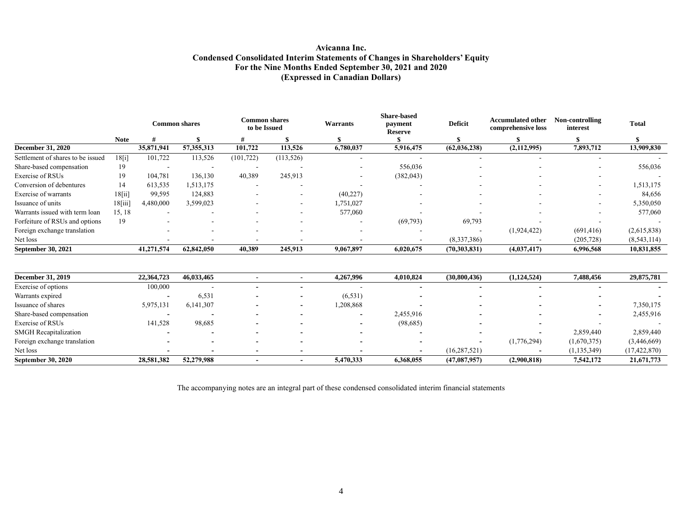## **Avicanna Inc. Condensed Consolidated Interim Statements of Changes in Shareholders' Equity For the Nine Months Ended September 30, 2021 and 2020 (Expressed in Canadian Dollars)**

|                                   |             |            | <b>Common shares</b>     | Common shares<br>to be Issued |            | <b>Warrants</b> | <b>Share-based</b><br>payment<br><b>Reserve</b> | Deficit                  | <b>Accumulated other</b><br>comprehensive loss | Non-controlling<br>interest | <b>Total</b> |
|-----------------------------------|-------------|------------|--------------------------|-------------------------------|------------|-----------------|-------------------------------------------------|--------------------------|------------------------------------------------|-----------------------------|--------------|
|                                   | <b>Note</b> |            |                          |                               |            |                 |                                                 |                          |                                                |                             |              |
| <b>December 31, 2020</b>          |             | 35,871,941 | 57,355,313               | 101,722                       | 113,526    | 6,780,037       | 5,916,475                                       | (62, 036, 238)           | (2,112,995)                                    | 7,893,712                   | 13,909,830   |
| Settlement of shares to be issued | 18[i]       | 101,722    | 113,526                  | (101, 722)                    | (113, 526) |                 |                                                 |                          |                                                |                             |              |
| Share-based compensation          | 19          |            | $\overline{\phantom{a}}$ | -                             |            | ٠               | 556,036                                         |                          |                                                |                             | 556,036      |
| Exercise of RSUs                  | 19          | 104.781    | 136,130                  | 40,389                        | 245,913    | ۰               | (382, 043)                                      |                          |                                                | ۰                           |              |
| Conversion of debentures          | 14          | 613,535    | 1,513,175                | $\overline{\phantom{a}}$      |            |                 |                                                 |                          |                                                |                             | 1,513,175    |
| Exercise of warrants              | 18[i]       | 99,595     | 124,883                  |                               |            | (40,227)        |                                                 |                          |                                                |                             | 84,656       |
| Issuance of units                 | $18$ [iii]  | 4,480,000  | 3,599,023                |                               |            | 1,751,027       | $\overline{\phantom{a}}$                        | $\overline{\phantom{0}}$ |                                                | ۰                           | 5,350,050    |
| Warrants issued with term loan    | 15, 18      | . .        | . .                      |                               |            | 577,060         |                                                 |                          |                                                | ۰                           | 577,060      |
| Forfeiture of RSUs and options    | 19          |            |                          |                               |            |                 | (69,793)                                        | 69,793                   |                                                |                             |              |
| Foreign exchange translation      |             |            | $\overline{\phantom{a}}$ |                               |            | ۰               |                                                 |                          | (1,924,422)                                    | (691, 416)                  | (2,615,838)  |
| Net loss                          |             |            |                          |                               |            |                 |                                                 | (8,337,386)              |                                                | (205, 728)                  | (8,543,114)  |
| September 30, 2021                |             | 41,271,574 | 62,842,050               | 40,389                        | 245,913    | 9,067,897       | 6,020,675                                       | (70, 303, 831)           | (4,037,417)                                    | 6,996,568                   | 10,831,855   |

| <b>December 31, 2019</b>     | 22,364,723 | 46,033,465               |  | 4,267,996                | 4.010.824                | (30,800,436)   | (1,124,524) | 7.488.456     | 29,875,781     |
|------------------------------|------------|--------------------------|--|--------------------------|--------------------------|----------------|-------------|---------------|----------------|
| Exercise of options          | 100,000    | -                        |  |                          |                          |                |             |               |                |
| Warrants expired             |            | 6,531                    |  | (6, 531)                 |                          |                |             |               |                |
| Issuance of shares           | 5,975,131  | 6,141,307                |  | 1,208,868                | $\overline{\phantom{0}}$ |                |             |               | 7,350,175      |
| Share-based compensation     |            | $\overline{\phantom{a}}$ |  |                          | 2,455,916                |                |             |               | 2,455,916      |
| Exercise of RSUs             | 141,528    | 98,685                   |  | $\overline{\phantom{0}}$ | (98,685)                 |                |             |               |                |
| <b>SMGH</b> Recapitalization |            | -                        |  |                          |                          |                |             | 2,859,440     | 2,859,440      |
| Foreign exchange translation |            | $\overline{\phantom{a}}$ |  | -                        | $\overline{\phantom{0}}$ |                | (1,776,294) | (1,670,375)   | (3,446,669)    |
| Net loss                     |            | -                        |  |                          | $\overline{\phantom{0}}$ | (16, 287, 521) |             | (1, 135, 349) | (17, 422, 870) |
| <b>September 30, 2020</b>    | 28,581,382 | 52,279,988               |  | 5,470,333                | 6,368,055                | (47,087,957)   | (2,900,818) | 7,542,172     | 21,671,773     |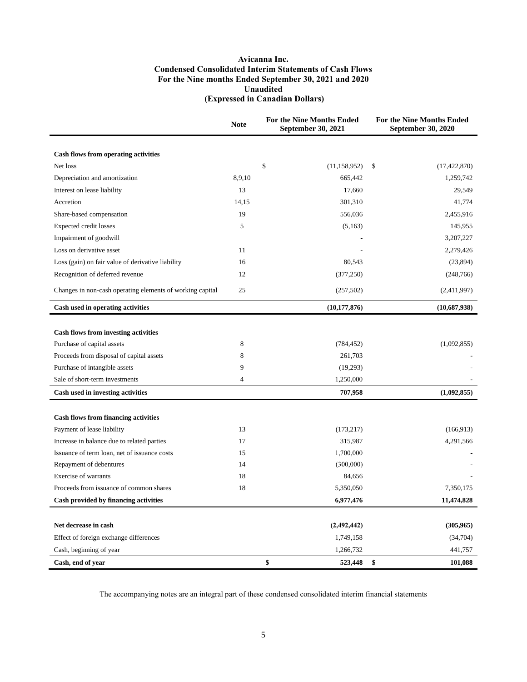### **Avicanna Inc. Condensed Consolidated Interim Statements of Cash Flows For the Nine months Ended September 30, 2021 and 2020 Unaudited (Expressed in Canadian Dollars)**

|                                                           | <b>Note</b>    | For the Nine Months Ended<br><b>September 30, 2021</b> | For the Nine Months Ended<br><b>September 30, 2020</b> |
|-----------------------------------------------------------|----------------|--------------------------------------------------------|--------------------------------------------------------|
|                                                           |                |                                                        |                                                        |
| Cash flows from operating activities                      |                |                                                        |                                                        |
| Net loss                                                  |                | \$<br>(11, 158, 952)                                   | \$<br>(17, 422, 870)                                   |
| Depreciation and amortization                             | 8,9,10         | 665,442                                                | 1,259,742                                              |
| Interest on lease liability                               | 13             | 17,660                                                 | 29,549                                                 |
| Accretion                                                 | 14,15          | 301,310                                                | 41,774                                                 |
| Share-based compensation                                  | 19             | 556,036                                                | 2,455,916                                              |
| Expected credit losses                                    | 5              | (5,163)                                                | 145,955                                                |
| Impairment of goodwill                                    |                |                                                        | 3,207,227                                              |
| Loss on derivative asset                                  | 11             |                                                        | 2,279,426                                              |
| Loss (gain) on fair value of derivative liability         | 16             | 80,543                                                 | (23,894)                                               |
| Recognition of deferred revenue                           | 12             | (377, 250)                                             | (248, 766)                                             |
| Changes in non-cash operating elements of working capital | 25             | (257, 502)                                             | (2,411,997)                                            |
| Cash used in operating activities                         |                | (10, 177, 876)                                         | (10,687,938)                                           |
|                                                           |                |                                                        |                                                        |
| <b>Cash flows from investing activities</b>               |                |                                                        |                                                        |
| Purchase of capital assets                                | 8              | (784, 452)                                             | (1,092,855)                                            |
| Proceeds from disposal of capital assets                  | 8              | 261,703                                                |                                                        |
| Purchase of intangible assets                             | 9              | (19,293)                                               |                                                        |
| Sale of short-term investments                            | $\overline{4}$ | 1,250,000                                              |                                                        |
| Cash used in investing activities                         |                | 707,958                                                | (1,092,855)                                            |
|                                                           |                |                                                        |                                                        |
| <b>Cash flows from financing activities</b>               |                |                                                        |                                                        |
| Payment of lease liability                                | 13<br>17       | (173, 217)<br>315,987                                  | (166, 913)                                             |
| Increase in balance due to related parties                | 15             |                                                        | 4,291,566                                              |
| Issuance of term loan, net of issuance costs              | 14             | 1,700,000                                              |                                                        |
| Repayment of debentures<br>Exercise of warrants           | 18             | (300,000)<br>84,656                                    |                                                        |
|                                                           |                |                                                        |                                                        |
| Proceeds from issuance of common shares                   | 18             | 5,350,050                                              | 7,350,175                                              |
| Cash provided by financing activities                     |                | 6,977,476                                              | 11,474,828                                             |
| Net decrease in cash                                      |                | (2, 492, 442)                                          | (305,965)                                              |
| Effect of foreign exchange differences                    |                | 1,749,158                                              | (34,704)                                               |
| Cash, beginning of year                                   |                | 1,266,732                                              | 441,757                                                |
| Cash, end of year                                         |                | \$<br>523,448                                          | \$<br>101,088                                          |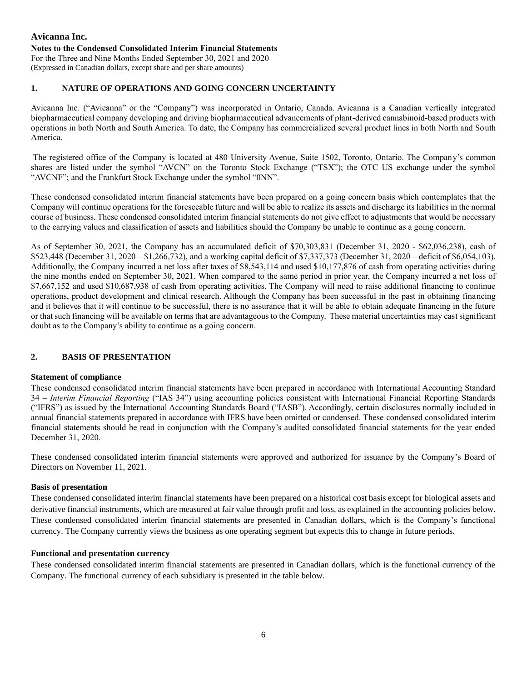# **Avicanna Inc. Notes to the Condensed Consolidated Interim Financial Statements** For the Three and Nine Months Ended September 30, 2021 and 2020

(Expressed in Canadian dollars, except share and per share amounts)

# **1. NATURE OF OPERATIONS AND GOING CONCERN UNCERTAINTY**

Avicanna Inc. ("Avicanna" or the "Company") was incorporated in Ontario, Canada. Avicanna is a Canadian vertically integrated biopharmaceutical company developing and driving biopharmaceutical advancements of plant-derived cannabinoid-based products with operations in both North and South America. To date, the Company has commercialized several product lines in both North and South America.

The registered office of the Company is located at 480 University Avenue, Suite 1502, Toronto, Ontario. The Company's common shares are listed under the symbol "AVCN" on the Toronto Stock Exchange ("TSX"); the OTC US exchange under the symbol "AVCNF"; and the Frankfurt Stock Exchange under the symbol "0NN".

These condensed consolidated interim financial statements have been prepared on a going concern basis which contemplates that the Company will continue operations for the foreseeable future and will be able to realize its assets and discharge its liabilities in the normal course of business. These condensed consolidated interim financial statements do not give effect to adjustments that would be necessary to the carrying values and classification of assets and liabilities should the Company be unable to continue as a going concern.

As of September 30, 2021, the Company has an accumulated deficit of \$70,303,831 (December 31, 2020 - \$62,036,238), cash of \$523,448 (December 31, 2020 – \$1,266,732), and a working capital deficit of \$7,337,373 (December 31, 2020 – deficit of \$6,054,103). Additionally, the Company incurred a net loss after taxes of \$8,543,114 and used \$10,177,876 of cash from operating activities during the nine months ended on September 30, 2021. When compared to the same period in prior year, the Company incurred a net loss of \$7,667,152 and used \$10,687,938 of cash from operating activities. The Company will need to raise additional financing to continue operations, product development and clinical research. Although the Company has been successful in the past in obtaining financing and it believes that it will continue to be successful, there is no assurance that it will be able to obtain adequate financing in the future or that such financing will be available on terms that are advantageous to the Company. These material uncertainties may cast significant doubt as to the Company's ability to continue as a going concern.

# **2. BASIS OF PRESENTATION**

### **Statement of compliance**

These condensed consolidated interim financial statements have been prepared in accordance with International Accounting Standard 34 – *Interim Financial Reporting* ("IAS 34") using accounting policies consistent with International Financial Reporting Standards ("IFRS") as issued by the International Accounting Standards Board ("IASB"). Accordingly, certain disclosures normally included in annual financial statements prepared in accordance with IFRS have been omitted or condensed. These condensed consolidated interim financial statements should be read in conjunction with the Company's audited consolidated financial statements for the year ended December 31, 2020.

These condensed consolidated interim financial statements were approved and authorized for issuance by the Company's Board of Directors on November 11, 2021.

### **Basis of presentation**

These condensed consolidated interim financial statements have been prepared on a historical cost basis except for biological assets and derivative financial instruments, which are measured at fair value through profit and loss, as explained in the accounting policies below. These condensed consolidated interim financial statements are presented in Canadian dollars, which is the Company's functional currency. The Company currently views the business as one operating segment but expects this to change in future periods.

### **Functional and presentation currency**

These condensed consolidated interim financial statements are presented in Canadian dollars, which is the functional currency of the Company. The functional currency of each subsidiary is presented in the table below.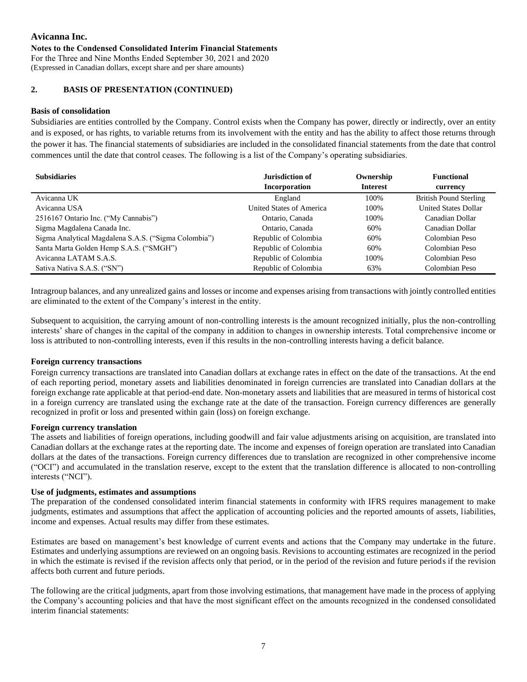#### **Notes to the Condensed Consolidated Interim Financial Statements**

For the Three and Nine Months Ended September 30, 2021 and 2020 (Expressed in Canadian dollars, except share and per share amounts)

## **2. BASIS OF PRESENTATION (CONTINUED)**

#### **Basis of consolidation**

Subsidiaries are entities controlled by the Company. Control exists when the Company has power, directly or indirectly, over an entity and is exposed, or has rights, to variable returns from its involvement with the entity and has the ability to affect those returns through the power it has. The financial statements of subsidiaries are included in the consolidated financial statements from the date that control commences until the date that control ceases. The following is a list of the Company's operating subsidiaries.

| <b>Subsidiaries</b>                                  | Jurisdiction of          | Ownership       | <b>Functional</b>             |
|------------------------------------------------------|--------------------------|-----------------|-------------------------------|
|                                                      | Incorporation            | <b>Interest</b> | currency                      |
| Avicanna UK                                          | England                  | 100%            | <b>British Pound Sterling</b> |
| Avicanna USA                                         | United States of America | 100%            | <b>United States Dollar</b>   |
| 2516167 Ontario Inc. ("My Cannabis")                 | Ontario, Canada          | 100%            | Canadian Dollar               |
| Sigma Magdalena Canada Inc.                          | Ontario, Canada          | 60%             | Canadian Dollar               |
| Sigma Analytical Magdalena S.A.S. ("Sigma Colombia") | Republic of Colombia     | 60%             | Colombian Peso                |
| Santa Marta Golden Hemp S.A.S. ("SMGH")              | Republic of Colombia     | 60%             | Colombian Peso                |
| Avicanna LATAM S.A.S.                                | Republic of Colombia     | 100%            | Colombian Peso                |
| Sativa Nativa S.A.S. ("SN")                          | Republic of Colombia     | 63%             | Colombian Peso                |

Intragroup balances, and any unrealized gains and losses or income and expenses arising from transactions with jointly controlled entities are eliminated to the extent of the Company's interest in the entity.

Subsequent to acquisition, the carrying amount of non-controlling interests is the amount recognized initially, plus the non-controlling interests' share of changes in the capital of the company in addition to changes in ownership interests. Total comprehensive income or loss is attributed to non-controlling interests, even if this results in the non-controlling interests having a deficit balance.

### **Foreign currency transactions**

Foreign currency transactions are translated into Canadian dollars at exchange rates in effect on the date of the transactions. At the end of each reporting period, monetary assets and liabilities denominated in foreign currencies are translated into Canadian dollars at the foreign exchange rate applicable at that period-end date. Non-monetary assets and liabilities that are measured in terms of historical cost in a foreign currency are translated using the exchange rate at the date of the transaction. Foreign currency differences are generally recognized in profit or loss and presented within gain (loss) on foreign exchange.

#### **Foreign currency translation**

The assets and liabilities of foreign operations, including goodwill and fair value adjustments arising on acquisition, are translated into Canadian dollars at the exchange rates at the reporting date. The income and expenses of foreign operation are translated into Canadian dollars at the dates of the transactions. Foreign currency differences due to translation are recognized in other comprehensive income ("OCI") and accumulated in the translation reserve, except to the extent that the translation difference is allocated to non-controlling interests ("NCI").

#### **Use of judgments, estimates and assumptions**

The preparation of the condensed consolidated interim financial statements in conformity with IFRS requires management to make judgments, estimates and assumptions that affect the application of accounting policies and the reported amounts of assets, liabilities, income and expenses. Actual results may differ from these estimates.

Estimates are based on management's best knowledge of current events and actions that the Company may undertake in the future. Estimates and underlying assumptions are reviewed on an ongoing basis. Revisions to accounting estimates are recognized in the period in which the estimate is revised if the revision affects only that period, or in the period of the revision and future periods if the revision affects both current and future periods.

The following are the critical judgments, apart from those involving estimations, that management have made in the process of applying the Company's accounting policies and that have the most significant effect on the amounts recognized in the condensed consolidated interim financial statements: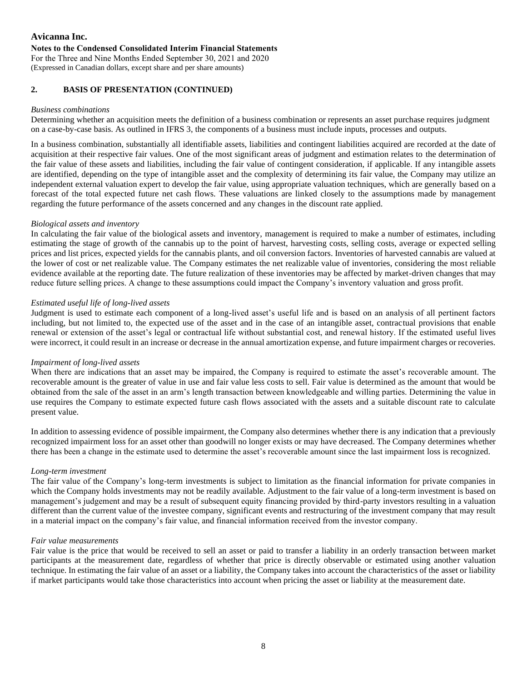For the Three and Nine Months Ended September 30, 2021 and 2020 (Expressed in Canadian dollars, except share and per share amounts)

# **2. BASIS OF PRESENTATION (CONTINUED)**

### *Business combinations*

Determining whether an acquisition meets the definition of a business combination or represents an asset purchase requires judgment on a case-by-case basis. As outlined in IFRS 3, the components of a business must include inputs, processes and outputs.

In a business combination, substantially all identifiable assets, liabilities and contingent liabilities acquired are recorded at the date of acquisition at their respective fair values. One of the most significant areas of judgment and estimation relates to the determination of the fair value of these assets and liabilities, including the fair value of contingent consideration, if applicable. If any intangible assets are identified, depending on the type of intangible asset and the complexity of determining its fair value, the Company may utilize an independent external valuation expert to develop the fair value, using appropriate valuation techniques, which are generally based on a forecast of the total expected future net cash flows. These valuations are linked closely to the assumptions made by management regarding the future performance of the assets concerned and any changes in the discount rate applied.

### *Biological assets and inventory*

In calculating the fair value of the biological assets and inventory, management is required to make a number of estimates, including estimating the stage of growth of the cannabis up to the point of harvest, harvesting costs, selling costs, average or expected selling prices and list prices, expected yields for the cannabis plants, and oil conversion factors. Inventories of harvested cannabis are valued at the lower of cost or net realizable value. The Company estimates the net realizable value of inventories, considering the most reliable evidence available at the reporting date. The future realization of these inventories may be affected by market-driven changes that may reduce future selling prices. A change to these assumptions could impact the Company's inventory valuation and gross profit.

## *Estimated useful life of long-lived assets*

Judgment is used to estimate each component of a long-lived asset's useful life and is based on an analysis of all pertinent factors including, but not limited to, the expected use of the asset and in the case of an intangible asset, contractual provisions that enable renewal or extension of the asset's legal or contractual life without substantial cost, and renewal history. If the estimated useful lives were incorrect, it could result in an increase or decrease in the annual amortization expense, and future impairment charges or recoveries.

### *Impairment of long-lived assets*

When there are indications that an asset may be impaired, the Company is required to estimate the asset's recoverable amount. The recoverable amount is the greater of value in use and fair value less costs to sell. Fair value is determined as the amount that would be obtained from the sale of the asset in an arm's length transaction between knowledgeable and willing parties. Determining the value in use requires the Company to estimate expected future cash flows associated with the assets and a suitable discount rate to calculate present value.

In addition to assessing evidence of possible impairment, the Company also determines whether there is any indication that a previously recognized impairment loss for an asset other than goodwill no longer exists or may have decreased. The Company determines whether there has been a change in the estimate used to determine the asset's recoverable amount since the last impairment loss is recognized.

### *Long-term investment*

The fair value of the Company's long-term investments is subject to limitation as the financial information for private companies in which the Company holds investments may not be readily available. Adjustment to the fair value of a long-term investment is based on management's judgement and may be a result of subsequent equity financing provided by third-party investors resulting in a valuation different than the current value of the investee company, significant events and restructuring of the investment company that may result in a material impact on the company's fair value, and financial information received from the investor company.

### *Fair value measurements*

Fair value is the price that would be received to sell an asset or paid to transfer a liability in an orderly transaction between market participants at the measurement date, regardless of whether that price is directly observable or estimated using another valuation technique. In estimating the fair value of an asset or a liability, the Company takes into account the characteristics of the asset or liability if market participants would take those characteristics into account when pricing the asset or liability at the measurement date.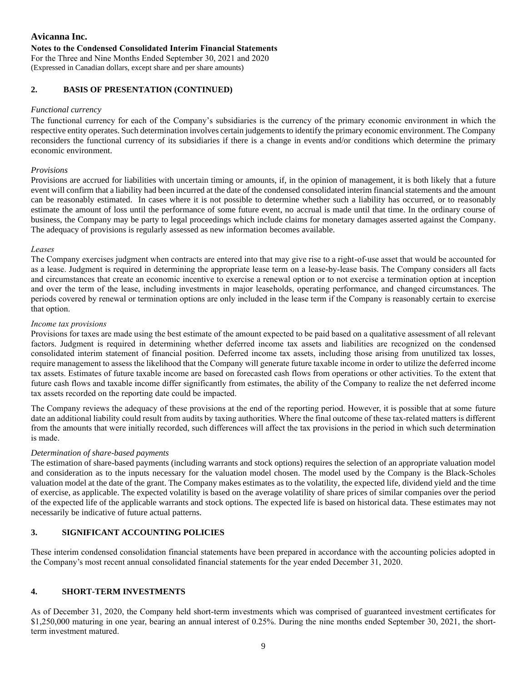#### **Notes to the Condensed Consolidated Interim Financial Statements**

For the Three and Nine Months Ended September 30, 2021 and 2020 (Expressed in Canadian dollars, except share and per share amounts)

## **2.****BASIS OF PRESENTATION (CONTINUED)**

#### *Functional currency*

The functional currency for each of the Company's subsidiaries is the currency of the primary economic environment in which the respective entity operates. Such determination involves certain judgements to identify the primary economic environment. The Company reconsiders the functional currency of its subsidiaries if there is a change in events and/or conditions which determine the primary economic environment.

#### *Provisions*

Provisions are accrued for liabilities with uncertain timing or amounts, if, in the opinion of management, it is both likely that a future event will confirm that a liability had been incurred at the date of the condensed consolidated interim financial statements and the amount can be reasonably estimated. In cases where it is not possible to determine whether such a liability has occurred, or to reasonably estimate the amount of loss until the performance of some future event, no accrual is made until that time. In the ordinary course of business, the Company may be party to legal proceedings which include claims for monetary damages asserted against the Company. The adequacy of provisions is regularly assessed as new information becomes available.

#### *Leases*

The Company exercises judgment when contracts are entered into that may give rise to a right-of-use asset that would be accounted for as a lease. Judgment is required in determining the appropriate lease term on a lease-by-lease basis. The Company considers all facts and circumstances that create an economic incentive to exercise a renewal option or to not exercise a termination option at inception and over the term of the lease, including investments in major leaseholds, operating performance, and changed circumstances. The periods covered by renewal or termination options are only included in the lease term if the Company is reasonably certain to exercise that option.

#### *Income tax provisions*

Provisions for taxes are made using the best estimate of the amount expected to be paid based on a qualitative assessment of all relevant factors. Judgment is required in determining whether deferred income tax assets and liabilities are recognized on the condensed consolidated interim statement of financial position. Deferred income tax assets, including those arising from unutilized tax losses, require management to assess the likelihood that the Company will generate future taxable income in order to utilize the deferred income tax assets. Estimates of future taxable income are based on forecasted cash flows from operations or other activities. To the extent that future cash flows and taxable income differ significantly from estimates, the ability of the Company to realize the net deferred income tax assets recorded on the reporting date could be impacted.

The Company reviews the adequacy of these provisions at the end of the reporting period. However, it is possible that at some future date an additional liability could result from audits by taxing authorities. Where the final outcome of these tax-related matters is different from the amounts that were initially recorded, such differences will affect the tax provisions in the period in which such determination is made.

### *Determination of share-based payments*

The estimation of share-based payments (including warrants and stock options) requires the selection of an appropriate valuation model and consideration as to the inputs necessary for the valuation model chosen. The model used by the Company is the Black-Scholes valuation model at the date of the grant. The Company makes estimates as to the volatility, the expected life, dividend yield and the time of exercise, as applicable. The expected volatility is based on the average volatility of share prices of similar companies over the period of the expected life of the applicable warrants and stock options. The expected life is based on historical data. These estimates may not necessarily be indicative of future actual patterns.

### **3. SIGNIFICANT ACCOUNTING POLICIES**

These interim condensed consolidation financial statements have been prepared in accordance with the accounting policies adopted in the Company's most recent annual consolidated financial statements for the year ended December 31, 2020.

## **4. SHORT-TERM INVESTMENTS**

As of December 31, 2020, the Company held short-term investments which was comprised of guaranteed investment certificates for \$1,250,000 maturing in one year, bearing an annual interest of 0.25%. During the nine months ended September 30, 2021, the shortterm investment matured.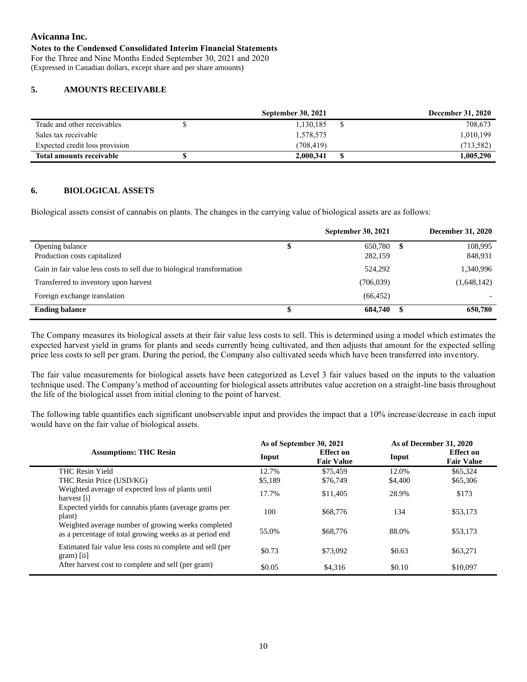#### **Notes to the Condensed Consolidated Interim Financial Statements**

For the Three and Nine Months Ended September 30, 2021 and 2020 (Expressed in Canadian dollars, except share and per share amounts)

### **5. AMOUNTS RECEIVABLE**

|                                 | <b>September 30, 2021</b> | <b>December 31, 2020</b> |
|---------------------------------|---------------------------|--------------------------|
| Trade and other receivables     | 1.130.185                 | 708,673                  |
| Sales tax receivable            | 1,578,575                 | 1,010,199                |
| Expected credit loss provision  | (708, 419)                | (713, 582)               |
| <b>Total amounts receivable</b> | 2,000,341                 | 1,005,290                |

#### **6. BIOLOGICAL ASSETS**

Biological assets consist of cannabis on plants. The changes in the carrying value of biological assets are as follows:

|                                                                        |   | <b>September 30, 2021</b> |    | <b>December 31, 2020</b> |
|------------------------------------------------------------------------|---|---------------------------|----|--------------------------|
| Opening balance                                                        | Φ | 650,780                   | S  | 108,995                  |
| Production costs capitalized                                           |   | 282,159                   |    | 848,931                  |
| Gain in fair value less costs to sell due to biological transformation |   | 524,292                   |    | 1,340,996                |
| Transferred to inventory upon harvest                                  |   | (706, 039)                |    | (1,648,142)              |
| Foreign exchange translation                                           |   | (66, 452)                 |    |                          |
| <b>Ending balance</b>                                                  |   | 684,740                   | \$ | 650,780                  |

The Company measures its biological assets at their fair value less costs to sell. This is determined using a model which estimates the expected harvest yield in grams for plants and seeds currently being cultivated, and then adjusts that amount for the expected selling price less costs to sell per gram. During the period, the Company also cultivated seeds which have been transferred into inventory.

The fair value measurements for biological assets have been categorized as Level 3 fair values based on the inputs to the valuation technique used. The Company's method of accounting for biological assets attributes value accretion on a straight-line basis throughout the life of the biological asset from initial cloning to the point of harvest.

The following table quantifies each significant unobservable input and provides the impact that a 10% increase/decrease in each input would have on the fair value of biological assets.

|                                                                                                               |         | As of September 30, 2021              | As of December 31, 2020 |                                       |  |
|---------------------------------------------------------------------------------------------------------------|---------|---------------------------------------|-------------------------|---------------------------------------|--|
| <b>Assumptions: THC Resin</b>                                                                                 | Input   | <b>Effect</b> on<br><b>Fair Value</b> | Input                   | <b>Effect</b> on<br><b>Fair Value</b> |  |
| <b>THC Resin Yield</b>                                                                                        | 12.7%   | \$75,459                              | 12.0%                   | \$65,324                              |  |
| THC Resin Price (USD/KG)                                                                                      | \$5,189 | \$76,749                              | \$4,400                 | \$65,306                              |  |
| Weighted average of expected loss of plants until<br>harvest [i]                                              | 17.7%   | \$11.405                              | 28.9%                   | \$173                                 |  |
| Expected yields for cannabis plants (average grams per<br>plant)                                              | 100     | \$68,776                              | 134                     | \$53,173                              |  |
| Weighted average number of growing weeks completed<br>as a percentage of total growing weeks as at period end | 55.0%   | \$68,776                              | 88.0%                   | \$53.173                              |  |
| Estimated fair value less costs to complete and sell (per<br>$gram)$ [ii]                                     | \$0.73  | \$73,092                              | \$0.63                  | \$63,271                              |  |
| After harvest cost to complete and sell (per gram)                                                            | \$0.05  | \$4,316                               | \$0.10                  | \$10,097                              |  |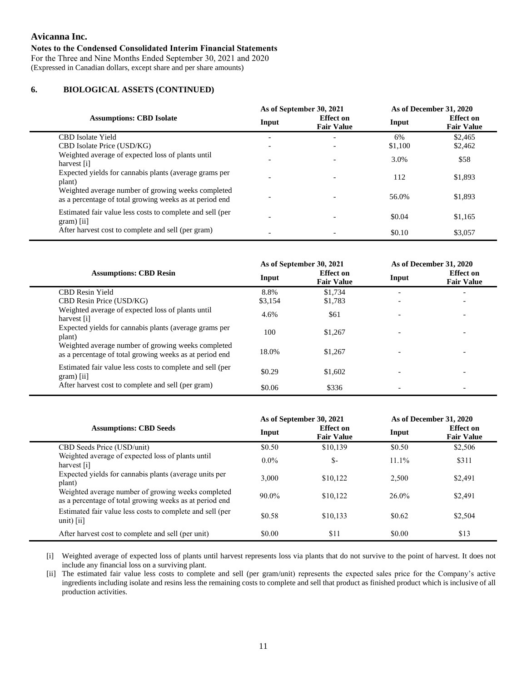For the Three and Nine Months Ended September 30, 2021 and 2020 (Expressed in Canadian dollars, except share and per share amounts)

## **6.****BIOLOGICAL ASSETS (CONTINUED)**

|                                                                                                               |       | As of September 30, 2021              | As of December 31, 2020 |                                       |  |  |
|---------------------------------------------------------------------------------------------------------------|-------|---------------------------------------|-------------------------|---------------------------------------|--|--|
| <b>Assumptions: CBD Isolate</b>                                                                               | Input | <b>Effect</b> on<br><b>Fair Value</b> | Input                   | <b>Effect</b> on<br><b>Fair Value</b> |  |  |
| <b>CBD</b> Isolate Yield                                                                                      |       | $\overline{\phantom{0}}$              | 6%                      | \$2,465                               |  |  |
| CBD Isolate Price (USD/KG)                                                                                    |       | $\overline{\phantom{0}}$              | \$1,100                 | \$2,462                               |  |  |
| Weighted average of expected loss of plants until<br>harvest [i]                                              |       | $\overline{\phantom{a}}$              | 3.0%                    | \$58                                  |  |  |
| Expected yields for cannabis plants (average grams per<br>plant)                                              |       |                                       | 112                     | \$1,893                               |  |  |
| Weighted average number of growing weeks completed<br>as a percentage of total growing weeks as at period end |       |                                       | 56.0%                   | \$1,893                               |  |  |
| Estimated fair value less costs to complete and sell (per<br>$gram)$ [ii]                                     |       |                                       | \$0.04                  | \$1,165                               |  |  |
| After harvest cost to complete and sell (per gram)                                                            |       |                                       | \$0.10                  | \$3,057                               |  |  |

|                                                                                                               |         | As of September 30, 2021              | As of December 31, 2020 |                                       |  |
|---------------------------------------------------------------------------------------------------------------|---------|---------------------------------------|-------------------------|---------------------------------------|--|
| <b>Assumptions: CBD Resin</b>                                                                                 | Input   | <b>Effect</b> on<br><b>Fair Value</b> | Input                   | <b>Effect</b> on<br><b>Fair Value</b> |  |
| <b>CBD Resin Yield</b>                                                                                        | 8.8%    | \$1.734                               |                         |                                       |  |
| CBD Resin Price (USD/KG)                                                                                      | \$3,154 | \$1,783                               |                         | $\overline{\phantom{a}}$              |  |
| Weighted average of expected loss of plants until<br>harvest [i]                                              | 4.6%    | \$61                                  |                         |                                       |  |
| Expected yields for cannabis plants (average grams per<br>plant)                                              | 100     | \$1,267                               |                         | ۰                                     |  |
| Weighted average number of growing weeks completed<br>as a percentage of total growing weeks as at period end | 18.0%   | \$1.267                               |                         | $\overline{\phantom{a}}$              |  |
| Estimated fair value less costs to complete and sell (per<br>$gram)$ [ii]                                     | \$0.29  | \$1,602                               |                         |                                       |  |
| After harvest cost to complete and sell (per gram)                                                            | \$0.06  | \$336                                 |                         | $\overline{\phantom{a}}$              |  |

|                                                                                                               |         | As of September 30, 2021              | As of December 31, 2020 |                                       |  |
|---------------------------------------------------------------------------------------------------------------|---------|---------------------------------------|-------------------------|---------------------------------------|--|
| <b>Assumptions: CBD Seeds</b>                                                                                 | Input   | <b>Effect</b> on<br><b>Fair Value</b> | Input                   | <b>Effect</b> on<br><b>Fair Value</b> |  |
| CBD Seeds Price (USD/unit)                                                                                    | \$0.50  | \$10,139                              | \$0.50                  | \$2,506                               |  |
| Weighted average of expected loss of plants until<br>harvest $[i]$                                            | $0.0\%$ | \$-                                   | $11.1\%$                | \$311                                 |  |
| Expected yields for cannabis plants (average units per<br>plant)                                              | 3.000   | \$10,122                              | 2.500                   | \$2,491                               |  |
| Weighted average number of growing weeks completed<br>as a percentage of total growing weeks as at period end | 90.0%   | \$10,122                              | 26.0%                   | \$2.491                               |  |
| Estimated fair value less costs to complete and sell (per<br>$unit)$ [ii]                                     | \$0.58  | \$10.133                              | \$0.62                  | \$2,504                               |  |
| After harvest cost to complete and sell (per unit)                                                            | \$0.00  | \$11                                  | \$0.00                  | \$13                                  |  |

[i] Weighted average of expected loss of plants until harvest represents loss via plants that do not survive to the point of harvest. It does not include any financial loss on a surviving plant.

[ii] The estimated fair value less costs to complete and sell (per gram/unit) represents the expected sales price for the Company's active ingredients including isolate and resins less the remaining costs to complete and sell that product as finished product which is inclusive of all production activities.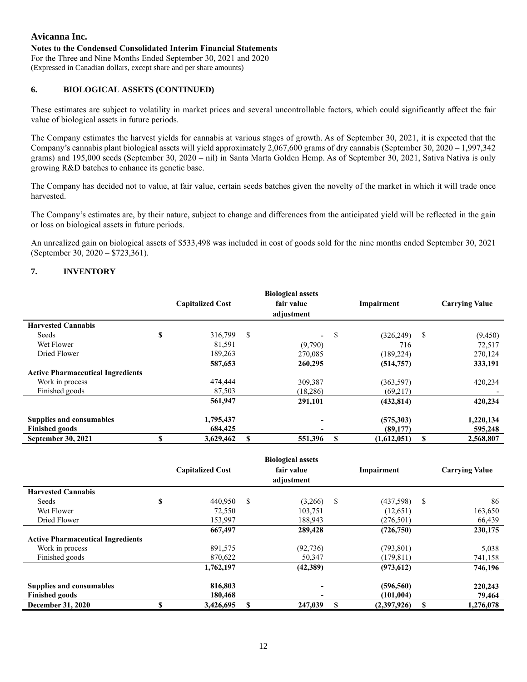For the Three and Nine Months Ended September 30, 2021 and 2020 (Expressed in Canadian dollars, except share and per share amounts)

# **6.****BIOLOGICAL ASSETS (CONTINUED)**

These estimates are subject to volatility in market prices and several uncontrollable factors, which could significantly affect the fair value of biological assets in future periods.

The Company estimates the harvest yields for cannabis at various stages of growth. As of September 30, 2021, it is expected that the Company's cannabis plant biological assets will yield approximately 2,067,600 grams of dry cannabis (September 30, 2020 – 1,997,342 grams) and 195,000 seeds (September 30, 2020 – nil) in Santa Marta Golden Hemp. As of September 30, 2021, Sativa Nativa is only growing R&D batches to enhance its genetic base.

The Company has decided not to value, at fair value, certain seeds batches given the novelty of the market in which it will trade once harvested.

The Company's estimates are, by their nature, subject to change and differences from the anticipated yield will be reflected in the gain or loss on biological assets in future periods.

An unrealized gain on biological assets of \$533,498 was included in cost of goods sold for the nine months ended September 30, 2021 (September 30, 2020 – \$723,361).

# **7. INVENTORY**

|                                          | <b>Biological assets</b><br>fair value<br><b>Capitalized Cost</b><br>adjustment |           | Impairment                     |   | <b>Carrying Value</b> |    |           |
|------------------------------------------|---------------------------------------------------------------------------------|-----------|--------------------------------|---|-----------------------|----|-----------|
| <b>Harvested Cannabis</b>                |                                                                                 |           |                                |   |                       |    |           |
| Seeds                                    | \$                                                                              | 316,799   | \$<br>$\overline{\phantom{0}}$ | S | (326, 249)            | \$ | (9,450)   |
| Wet Flower                               |                                                                                 | 81,591    | (9,790)                        |   | 716                   |    | 72,517    |
| Dried Flower                             |                                                                                 | 189,263   | 270,085                        |   | (189, 224)            |    | 270,124   |
|                                          |                                                                                 | 587,653   | 260,295                        |   | (514, 757)            |    | 333,191   |
| <b>Active Pharmaceutical Ingredients</b> |                                                                                 |           |                                |   |                       |    |           |
| Work in process                          |                                                                                 | 474,444   | 309,387                        |   | (363, 597)            |    | 420,234   |
| Finished goods                           |                                                                                 | 87,503    | (18, 286)                      |   | (69,217)              |    |           |
|                                          |                                                                                 | 561,947   | 291,101                        |   | (432, 814)            |    | 420,234   |
| <b>Supplies and consumables</b>          |                                                                                 | 1,795,437 |                                |   | (575,303)             |    | 1,220,134 |
| <b>Finished goods</b>                    |                                                                                 | 684,425   |                                |   | (89,177)              |    | 595,248   |
| <b>September 30, 2021</b>                |                                                                                 | 3,629,462 | 551,396                        |   | (1,612,051)           | S  | 2,568,807 |

|                                          |                         |   | <b>Biological assets</b> |    |             |    |                       |
|------------------------------------------|-------------------------|---|--------------------------|----|-------------|----|-----------------------|
|                                          | <b>Capitalized Cost</b> |   | fair value               |    | Impairment  |    | <b>Carrying Value</b> |
|                                          |                         |   | adjustment               |    |             |    |                       |
| <b>Harvested Cannabis</b>                |                         |   |                          |    |             |    |                       |
| Seeds                                    | \$<br>440.950           | S | (3,266)                  | -S | (437,598)   | \$ | 86                    |
| Wet Flower                               | 72,550                  |   | 103,751                  |    | (12,651)    |    | 163,650               |
| Dried Flower                             | 153,997                 |   | 188,943                  |    | (276, 501)  |    | 66,439                |
|                                          | 667,497                 |   | 289,428                  |    | (726, 750)  |    | 230,175               |
| <b>Active Pharmaceutical Ingredients</b> |                         |   |                          |    |             |    |                       |
| Work in process                          | 891,575                 |   | (92, 736)                |    | (793, 801)  |    | 5,038                 |
| Finished goods                           | 870,622                 |   | 50,347                   |    | (179, 811)  |    | 741,158               |
|                                          | 1,762,197               |   | (42,389)                 |    | (973, 612)  |    | 746,196               |
| <b>Supplies and consumables</b>          | 816,803                 |   | -                        |    | (596, 560)  |    | 220,243               |
| <b>Finished goods</b>                    | 180,468                 |   | -                        |    | (101, 004)  |    | 79,464                |
| <b>December 31, 2020</b>                 | 3,426,695               |   | 247,039                  | -S | (2,397,926) | S  | 1,276,078             |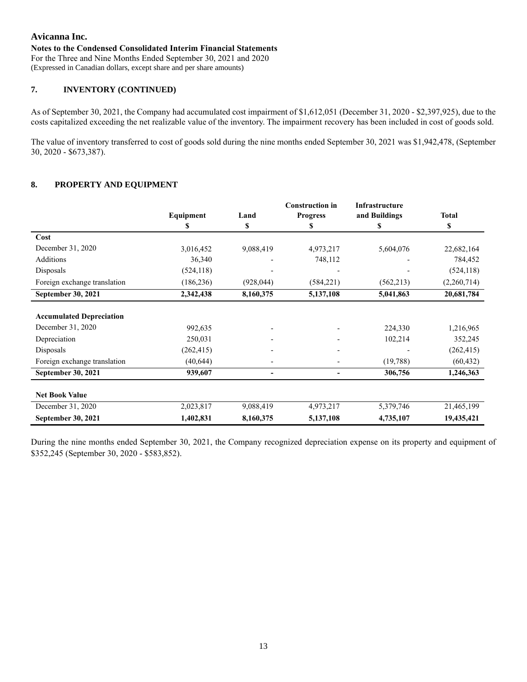#### **Notes to the Condensed Consolidated Interim Financial Statements**

For the Three and Nine Months Ended September 30, 2021 and 2020 (Expressed in Canadian dollars, except share and per share amounts)

### **7. INVENTORY (CONTINUED)**

As of September 30, 2021, the Company had accumulated cost impairment of \$1,612,051 (December 31, 2020 - \$2,397,925), due to the costs capitalized exceeding the net realizable value of the inventory. The impairment recovery has been included in cost of goods sold.

The value of inventory transferred to cost of goods sold during the nine months ended September 30, 2021 was \$1,942,478, (September 30, 2020 - \$673,387).

## **8. PROPERTY AND EQUIPMENT**

|                                 |            |            | <b>Construction in</b> | Infrastructure |              |
|---------------------------------|------------|------------|------------------------|----------------|--------------|
|                                 | Equipment  | Land       | <b>Progress</b>        | and Buildings  | <b>Total</b> |
|                                 | S          | \$         | S                      | \$             | \$           |
| Cost                            |            |            |                        |                |              |
| December 31, 2020               | 3,016,452  | 9,088,419  | 4,973,217              | 5,604,076      | 22,682,164   |
| Additions                       | 36,340     |            | 748,112                |                | 784,452      |
| Disposals                       | (524, 118) |            |                        |                | (524, 118)   |
| Foreign exchange translation    | (186, 236) | (928, 044) | (584, 221)             | (562,213)      | (2,260,714)  |
| <b>September 30, 2021</b>       | 2,342,438  | 8,160,375  | 5,137,108              | 5,041,863      | 20,681,784   |
|                                 |            |            |                        |                |              |
| <b>Accumulated Depreciation</b> |            |            |                        |                |              |
| December 31, 2020               | 992,635    |            |                        | 224,330        | 1,216,965    |
| Depreciation                    | 250,031    |            |                        | 102,214        | 352,245      |
| Disposals                       | (262, 415) |            |                        |                | (262, 415)   |
| Foreign exchange translation    | (40, 644)  |            |                        | (19,788)       | (60, 432)    |
| <b>September 30, 2021</b>       | 939,607    |            |                        | 306,756        | 1,246,363    |
|                                 |            |            |                        |                |              |
| <b>Net Book Value</b>           |            |            |                        |                |              |
| December 31, 2020               | 2,023,817  | 9,088,419  | 4,973,217              | 5,379,746      | 21,465,199   |
| September 30, 2021              | 1,402,831  | 8,160,375  | 5,137,108              | 4,735,107      | 19,435,421   |

During the nine months ended September 30, 2021, the Company recognized depreciation expense on its property and equipment of \$352,245 (September 30, 2020 - \$583,852).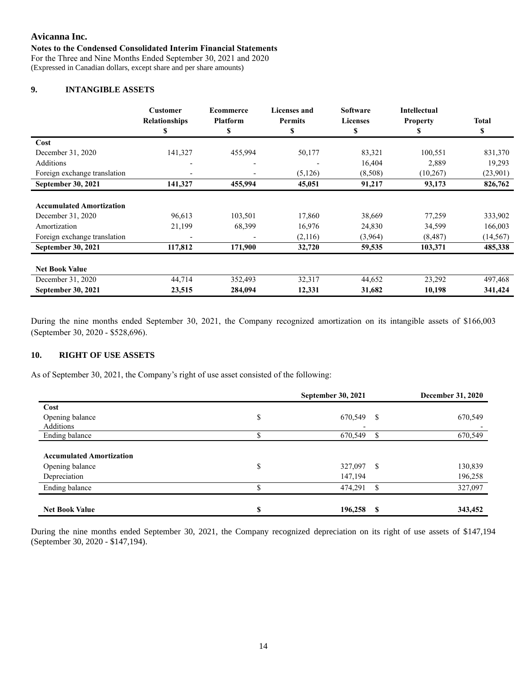## **Notes to the Condensed Consolidated Interim Financial Statements**

For the Three and Nine Months Ended September 30, 2021 and 2020 (Expressed in Canadian dollars, except share and per share amounts)

### **9. INTANGIBLE ASSETS**

|                                 | Customer<br><b>Relationships</b> | <b>Ecommerce</b><br><b>Platform</b> | <b>Licenses and</b><br><b>Permits</b> | <b>Software</b><br><b>Licenses</b> | <b>Intellectual</b><br><b>Property</b> | <b>Total</b> |
|---------------------------------|----------------------------------|-------------------------------------|---------------------------------------|------------------------------------|----------------------------------------|--------------|
|                                 | S                                | \$                                  | \$                                    | \$                                 | \$                                     | \$           |
| Cost                            |                                  |                                     |                                       |                                    |                                        |              |
| December 31, 2020               | 141,327                          | 455,994                             | 50,177                                | 83,321                             | 100,551                                | 831,370      |
| Additions                       |                                  |                                     |                                       | 16,404                             | 2,889                                  | 19,293       |
| Foreign exchange translation    |                                  | $\overline{\phantom{0}}$            | (5, 126)                              | (8,508)                            | (10,267)                               | (23,901)     |
| <b>September 30, 2021</b>       | 141,327                          | 455,994                             | 45,051                                | 91,217                             | 93,173                                 | 826,762      |
|                                 |                                  |                                     |                                       |                                    |                                        |              |
| <b>Accumulated Amortization</b> |                                  |                                     |                                       |                                    |                                        |              |
| December 31, 2020               | 96,613                           | 103,501                             | 17,860                                | 38,669                             | 77,259                                 | 333,902      |
| Amortization                    | 21,199                           | 68,399                              | 16,976                                | 24,830                             | 34,599                                 | 166,003      |
| Foreign exchange translation    | $\overline{\phantom{0}}$         |                                     | (2,116)                               | (3,964)                            | (8, 487)                               | (14, 567)    |
| September 30, 2021              | 117,812                          | 171,900                             | 32,720                                | 59,535                             | 103,371                                | 485,338      |
|                                 |                                  |                                     |                                       |                                    |                                        |              |
| <b>Net Book Value</b>           |                                  |                                     |                                       |                                    |                                        |              |
| December 31, 2020               | 44,714                           | 352,493                             | 32,317                                | 44,652                             | 23,292                                 | 497,468      |
| <b>September 30, 2021</b>       | 23,515                           | 284,094                             | 12,331                                | 31,682                             | 10,198                                 | 341,424      |

During the nine months ended September 30, 2021, the Company recognized amortization on its intangible assets of \$166,003 (September 30, 2020 - \$528,696).

## **10. RIGHT OF USE ASSETS**

As of September 30, 2021, the Company's right of use asset consisted of the following:

|                                 |    | <b>September 30, 2021</b> |               | <b>December 31, 2020</b> |
|---------------------------------|----|---------------------------|---------------|--------------------------|
| Cost                            |    |                           |               |                          |
| Opening balance                 | \$ | 670,549                   | <sup>\$</sup> | 670,549                  |
| Additions                       |    |                           |               |                          |
| Ending balance                  |    | 670,549                   | \$.           | 670,549                  |
|                                 |    |                           |               |                          |
| <b>Accumulated Amortization</b> |    |                           |               |                          |
| Opening balance                 | \$ | 327,097                   | S             | 130,839                  |
| Depreciation                    |    | 147,194                   |               | 196,258                  |
| Ending balance                  |    | 474,291                   | \$            | 327,097                  |
|                                 |    |                           |               |                          |
| <b>Net Book Value</b>           | S  | 196,258                   | - \$          | 343,452                  |

During the nine months ended September 30, 2021, the Company recognized depreciation on its right of use assets of \$147,194 (September 30, 2020 - \$147,194).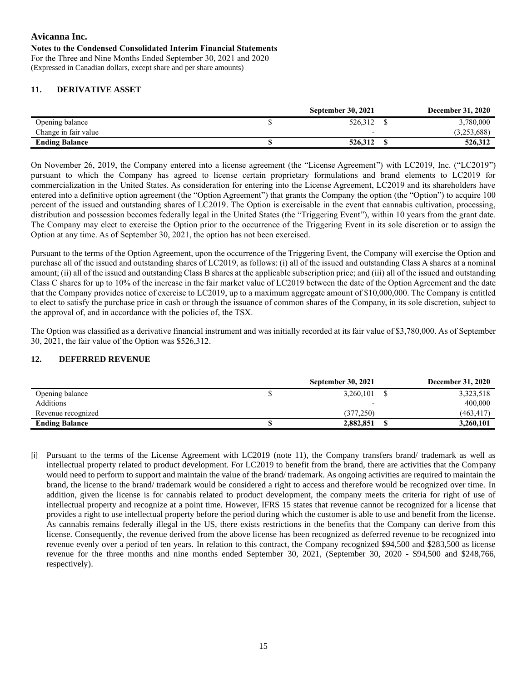## **Avicanna Inc. Notes to the Condensed Consolidated Interim Financial Statements** For the Three and Nine Months Ended September 30, 2021 and 2020

(Expressed in Canadian dollars, except share and per share amounts)

# **11. DERIVATIVE ASSET**

|                       | <b>September 30, 2021</b> | <b>December 31, 2020</b> |
|-----------------------|---------------------------|--------------------------|
| Opening balance       | 526,312                   | 3,780,000                |
| Change in fair value  |                           | (3,253,688)              |
| <b>Ending Balance</b> | 526,312                   | 526,312                  |

On November 26, 2019, the Company entered into a license agreement (the "License Agreement") with LC2019, Inc. ("LC2019") pursuant to which the Company has agreed to license certain proprietary formulations and brand elements to LC2019 for commercialization in the United States. As consideration for entering into the License Agreement, LC2019 and its shareholders have entered into a definitive option agreement (the "Option Agreement") that grants the Company the option (the "Option") to acquire 100 percent of the issued and outstanding shares of LC2019. The Option is exercisable in the event that cannabis cultivation, processing, distribution and possession becomes federally legal in the United States (the "Triggering Event"), within 10 years from the grant date. The Company may elect to exercise the Option prior to the occurrence of the Triggering Event in its sole discretion or to assign the Option at any time. As of September 30, 2021, the option has not been exercised.

Pursuant to the terms of the Option Agreement, upon the occurrence of the Triggering Event, the Company will exercise the Option and purchase all of the issued and outstanding shares of LC2019, as follows: (i) all of the issued and outstanding Class A shares at a nominal amount; (ii) all of the issued and outstanding Class B shares at the applicable subscription price; and (iii) all of the issued and outstanding Class C shares for up to 10% of the increase in the fair market value of LC2019 between the date of the Option Agreement and the date that the Company provides notice of exercise to LC2019, up to a maximum aggregate amount of \$10,000,000. The Company is entitled to elect to satisfy the purchase price in cash or through the issuance of common shares of the Company, in its sole discretion, subject to the approval of, and in accordance with the policies of, the TSX.

The Option was classified as a derivative financial instrument and was initially recorded at its fair value of \$3,780,000. As of September 30, 2021, the fair value of the Option was \$526,312.

### **12. DEFERRED REVENUE**

|                       | <b>September 30, 2021</b> | <b>December 31, 2020</b> |
|-----------------------|---------------------------|--------------------------|
| Opening balance       | 3,260,101                 | 3,323,518                |
| Additions             |                           | 400,000                  |
| Revenue recognized    | (377.250)                 | (463, 417)               |
| <b>Ending Balance</b> | 2,882,851                 | 3,260,101                |

[i] Pursuant to the terms of the License Agreement with LC2019 (note 11), the Company transfers brand/ trademark as well as intellectual property related to product development. For LC2019 to benefit from the brand, there are activities that the Company would need to perform to support and maintain the value of the brand/ trademark. As ongoing activities are required to maintain the brand, the license to the brand/ trademark would be considered a right to access and therefore would be recognized over time. In addition, given the license is for cannabis related to product development, the company meets the criteria for right of use of intellectual property and recognize at a point time. However, IFRS 15 states that revenue cannot be recognized for a license that provides a right to use intellectual property before the period during which the customer is able to use and benefit from the license. As cannabis remains federally illegal in the US, there exists restrictions in the benefits that the Company can derive from this license. Consequently, the revenue derived from the above license has been recognized as deferred revenue to be recognized into revenue evenly over a period of ten years. In relation to this contract, the Company recognized \$94,500 and \$283,500 as license revenue for the three months and nine months ended September 30, 2021, (September 30, 2020 - \$94,500 and \$248,766, respectively).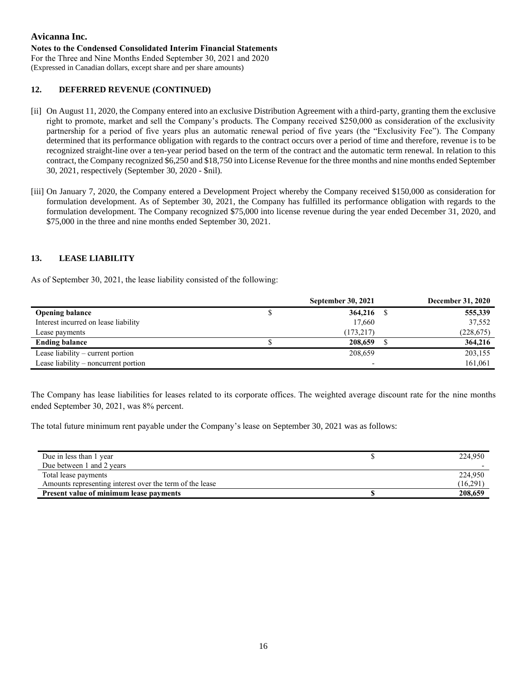#### **Notes to the Condensed Consolidated Interim Financial Statements**

For the Three and Nine Months Ended September 30, 2021 and 2020 (Expressed in Canadian dollars, except share and per share amounts)

## **12. DEFERRED REVENUE (CONTINUED)**

- [ii] On August 11, 2020, the Company entered into an exclusive Distribution Agreement with a third-party, granting them the exclusive right to promote, market and sell the Company's products. The Company received \$250,000 as consideration of the exclusivity partnership for a period of five years plus an automatic renewal period of five years (the "Exclusivity Fee"). The Company determined that its performance obligation with regards to the contract occurs over a period of time and therefore, revenue is to be recognized straight-line over a ten-year period based on the term of the contract and the automatic term renewal. In relation to this contract, the Company recognized \$6,250 and \$18,750 into License Revenue for the three months and nine months ended September 30, 2021, respectively (September 30, 2020 - \$nil).
- [iii] On January 7, 2020, the Company entered a Development Project whereby the Company received \$150,000 as consideration for formulation development. As of September 30, 2021, the Company has fulfilled its performance obligation with regards to the formulation development. The Company recognized \$75,000 into license revenue during the year ended December 31, 2020, and \$75,000 in the three and nine months ended September 30, 2021.

## **13. LEASE LIABILITY**

As of September 30, 2021, the lease liability consisted of the following:

|                                      | <b>September 30, 2021</b> | <b>December 31, 2020</b> |
|--------------------------------------|---------------------------|--------------------------|
| <b>Opening balance</b>               | 364,216                   | 555,339                  |
| Interest incurred on lease liability | 17,660                    | 37,552                   |
| Lease payments                       | (173, 217)                | (228, 675)               |
| <b>Ending balance</b>                | 208,659                   | 364,216                  |
| Lease liability – current portion    | 208,659                   | 203,155                  |
| Lease liability – noncurrent portion | $\overline{\phantom{0}}$  | 161,061                  |

The Company has lease liabilities for leases related to its corporate offices. The weighted average discount rate for the nine months ended September 30, 2021, was 8% percent.

The total future minimum rent payable under the Company's lease on September 30, 2021 was as follows:

| Due in less than 1 year                                  | 224,950  |
|----------------------------------------------------------|----------|
| Due between 1 and 2 years                                |          |
| Total lease payments                                     | 224,950  |
| Amounts representing interest over the term of the lease | (16,291) |
| <b>Present value of minimum lease payments</b>           | 208,659  |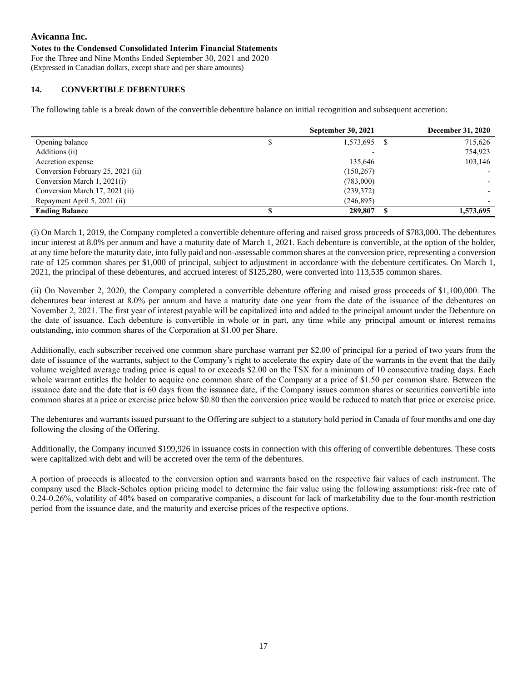For the Three and Nine Months Ended September 30, 2021 and 2020 (Expressed in Canadian dollars, except share and per share amounts)

# **14. CONVERTIBLE DEBENTURES**

The following table is a break down of the convertible debenture balance on initial recognition and subsequent accretion:

|                                   |   | <b>September 30, 2021</b> | <b>December 31, 2020</b> |
|-----------------------------------|---|---------------------------|--------------------------|
| Opening balance                   | Φ | 1,573,695                 | 715,626                  |
| Additions (ii)                    |   |                           | 754,923                  |
| Accretion expense                 |   | 135,646                   | 103,146                  |
| Conversion February 25, 2021 (ii) |   | (150, 267)                |                          |
| Conversion March 1, 2021(i)       |   | (783,000)                 |                          |
| Conversion March 17, 2021 (ii)    |   | (239,372)                 |                          |
| Repayment April 5, 2021 (ii)      |   | (246, 895)                |                          |
| <b>Ending Balance</b>             |   | 289,807                   | 1,573,695                |

(i) On March 1, 2019, the Company completed a convertible debenture offering and raised gross proceeds of \$783,000. The debentures incur interest at 8.0% per annum and have a maturity date of March 1, 2021. Each debenture is convertible, at the option of the holder, at any time before the maturity date, into fully paid and non-assessable common shares at the conversion price, representing a conversion rate of 125 common shares per \$1,000 of principal, subject to adjustment in accordance with the debenture certificates. On March 1, 2021, the principal of these debentures, and accrued interest of \$125,280, were converted into 113,535 common shares.

(ii) On November 2, 2020, the Company completed a convertible debenture offering and raised gross proceeds of \$1,100,000. The debentures bear interest at 8.0% per annum and have a maturity date one year from the date of the issuance of the debentures on November 2, 2021. The first year of interest payable will be capitalized into and added to the principal amount under the Debenture on the date of issuance. Each debenture is convertible in whole or in part, any time while any principal amount or interest remains outstanding, into common shares of the Corporation at \$1.00 per Share.

Additionally, each subscriber received one common share purchase warrant per \$2.00 of principal for a period of two years from the date of issuance of the warrants, subject to the Company's right to accelerate the expiry date of the warrants in the event that the daily volume weighted average trading price is equal to or exceeds \$2.00 on the TSX for a minimum of 10 consecutive trading days. Each whole warrant entitles the holder to acquire one common share of the Company at a price of \$1.50 per common share. Between the issuance date and the date that is 60 days from the issuance date, if the Company issues common shares or securities convertible into common shares at a price or exercise price below \$0.80 then the conversion price would be reduced to match that price or exercise price.

The debentures and warrants issued pursuant to the Offering are subject to a statutory hold period in Canada of four months and one day following the closing of the Offering.

Additionally, the Company incurred \$199,926 in issuance costs in connection with this offering of convertible debentures. These costs were capitalized with debt and will be accreted over the term of the debentures.

A portion of proceeds is allocated to the conversion option and warrants based on the respective fair values of each instrument. The company used the Black-Scholes option pricing model to determine the fair value using the following assumptions: risk-free rate of 0.24-0.26%, volatility of 40% based on comparative companies, a discount for lack of marketability due to the four-month restriction period from the issuance date, and the maturity and exercise prices of the respective options.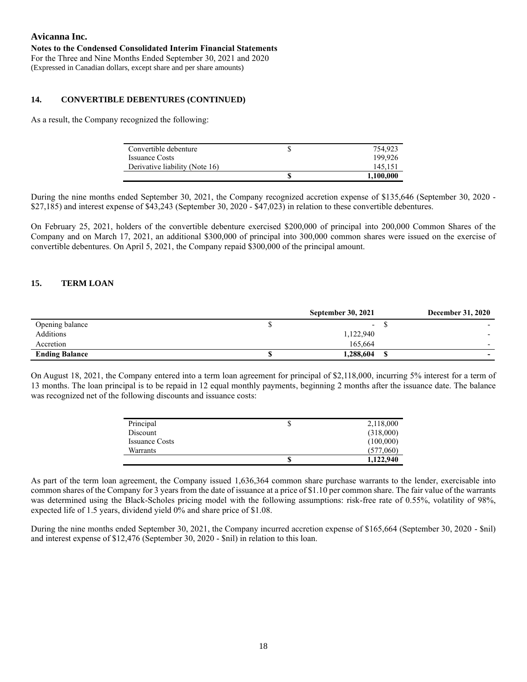#### **Notes to the Condensed Consolidated Interim Financial Statements** For the Three and Nine Months Ended September 30, 2021 and 2020 (Expressed in Canadian dollars, except share and per share amounts)

## **14. CONVERTIBLE DEBENTURES (CONTINUED)**

As a result, the Company recognized the following:

| Convertible debenture          | ۰D | 754,923   |
|--------------------------------|----|-----------|
| <b>Issuance Costs</b>          |    | 199.926   |
| Derivative liability (Note 16) |    | 145.151   |
|                                |    | 1.100.000 |

During the nine months ended September 30, 2021, the Company recognized accretion expense of \$135,646 (September 30, 2020 - \$27,185) and interest expense of \$43,243 (September 30, 2020 - \$47,023) in relation to these convertible debentures.

On February 25, 2021, holders of the convertible debenture exercised \$200,000 of principal into 200,000 Common Shares of the Company and on March 17, 2021, an additional \$300,000 of principal into 300,000 common shares were issued on the exercise of convertible debentures. On April 5, 2021, the Company repaid \$300,000 of the principal amount.

### **15. TERM LOAN**

|                       | <b>September 30, 2021</b> | <b>December 31, 2020</b> |
|-----------------------|---------------------------|--------------------------|
| Opening balance       | $\overline{\phantom{0}}$  |                          |
| Additions             | 1,122,940                 | $\overline{\phantom{0}}$ |
| Accretion             | 165,664                   |                          |
| <b>Ending Balance</b> | 1,288,604                 | $\,$                     |

On August 18, 2021, the Company entered into a term loan agreement for principal of \$2,118,000, incurring 5% interest for a term of 13 months. The loan principal is to be repaid in 12 equal monthly payments, beginning 2 months after the issuance date. The balance was recognized net of the following discounts and issuance costs:

| Principal             | J  | 2,118,000 |
|-----------------------|----|-----------|
| Discount              |    | (318,000) |
| <b>Issuance Costs</b> |    | (100,000) |
| Warrants              |    | (577,060) |
|                       | \$ | 1,122,940 |

As part of the term loan agreement, the Company issued 1,636,364 common share purchase warrants to the lender, exercisable into common shares of the Company for 3 years from the date of issuance at a price of \$1.10 per common share. The fair value of the warrants was determined using the Black-Scholes pricing model with the following assumptions: risk-free rate of 0.55%, volatility of 98%, expected life of 1.5 years, dividend yield 0% and share price of \$1.08.

During the nine months ended September 30, 2021, the Company incurred accretion expense of \$165,664 (September 30, 2020 - \$nil) and interest expense of \$12,476 (September 30, 2020 - \$nil) in relation to this loan.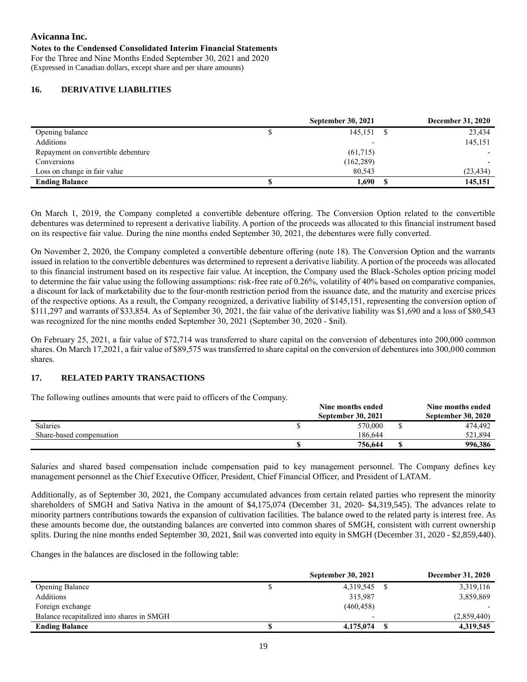#### **Notes to the Condensed Consolidated Interim Financial Statements**

For the Three and Nine Months Ended September 30, 2021 and 2020 (Expressed in Canadian dollars, except share and per share amounts)

## **16. DERIVATIVE LIABILITIES**

|                                    |   | <b>September 30, 2021</b> | December 31, 2020 |
|------------------------------------|---|---------------------------|-------------------|
| Opening balance                    | Φ | 145,151                   | 23,434            |
| Additions                          |   |                           | 145,151           |
| Repayment on convertible debenture |   | (61,715)                  |                   |
| Conversions                        |   | (162, 289)                |                   |
| Loss on change in fair value       |   | 80,543                    | (23, 434)         |
| <b>Ending Balance</b>              |   | 1,690                     | 145,151           |

On March 1, 2019, the Company completed a convertible debenture offering. The Conversion Option related to the convertible debentures was determined to represent a derivative liability. A portion of the proceeds was allocated to this financial instrument based on its respective fair value. During the nine months ended September 30, 2021, the debentures were fully converted.

On November 2, 2020, the Company completed a convertible debenture offering (note 18). The Conversion Option and the warrants issued in relation to the convertible debentures was determined to represent a derivative liability. A portion of the proceeds was allocated to this financial instrument based on its respective fair value. At inception, the Company used the Black-Scholes option pricing model to determine the fair value using the following assumptions: risk-free rate of 0.26%, volatility of 40% based on comparative companies, a discount for lack of marketability due to the four-month restriction period from the issuance date, and the maturity and exercise prices of the respective options. As a result, the Company recognized, a derivative liability of \$145,151, representing the conversion option of \$111,297 and warrants of \$33,854. As of September 30, 2021, the fair value of the derivative liability was \$1,690 and a loss of \$80,543 was recognized for the nine months ended September 30, 2021 (September 30, 2020 - \$nil).

On February 25, 2021, a fair value of \$72,714 was transferred to share capital on the conversion of debentures into 200,000 common shares. On March 17,2021, a fair value of \$89,575 was transferred to share capital on the conversion of debentures into 300,000 common shares.

### **17. RELATED PARTY TRANSACTIONS**

The following outlines amounts that were paid to officers of the Company.

|                          | Nine months ended         | Nine months ended         |
|--------------------------|---------------------------|---------------------------|
|                          | <b>September 30, 2021</b> | <b>September 30, 2020</b> |
| <b>Salaries</b>          | 570,000                   | 474.492                   |
| Share-based compensation | 186.644                   | 521.894                   |
|                          | 756,644                   | 996,386                   |

Salaries and shared based compensation include compensation paid to key management personnel. The Company defines key management personnel as the Chief Executive Officer, President, Chief Financial Officer, and President of LATAM.

Additionally, as of September 30, 2021, the Company accumulated advances from certain related parties who represent the minority shareholders of SMGH and Sativa Nativa in the amount of \$4,175,074 (December 31, 2020- \$4,319,545). The advances relate to minority partners contributions towards the expansion of cultivation facilities. The balance owed to the related party is interest free. As these amounts become due, the outstanding balances are converted into common shares of SMGH, consistent with current ownership splits. During the nine months ended September 30, 2021, \$nil was converted into equity in SMGH (December 31, 2020 - \$2,859,440).

Changes in the balances are disclosed in the following table:

|                                           | <b>September 30, 2021</b> | <b>December 31, 2020</b> |
|-------------------------------------------|---------------------------|--------------------------|
| <b>Opening Balance</b>                    | 4,319,545                 | 3,319,116                |
| Additions                                 | 315,987                   | 3,859,869                |
| Foreign exchange                          | (460, 458)                |                          |
| Balance recapitalized into shares in SMGH |                           | (2,859,440)              |
| <b>Ending Balance</b>                     | 4,175,074                 | 4,319,545                |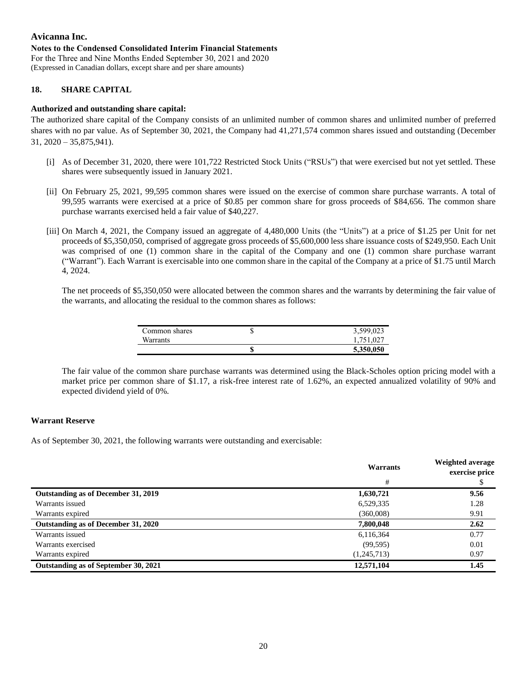## **Avicanna Inc. Notes to the Condensed Consolidated Interim Financial Statements** For the Three and Nine Months Ended September 30, 2021 and 2020

(Expressed in Canadian dollars, except share and per share amounts)

## **18. SHARE CAPITAL**

## **Authorized and outstanding share capital:**

The authorized share capital of the Company consists of an unlimited number of common shares and unlimited number of preferred shares with no par value. As of September 30, 2021, the Company had 41,271,574 common shares issued and outstanding (December  $31, 2020 - 35, 875, 941$ .

- [i] As of December 31, 2020, there were 101,722 Restricted Stock Units ("RSUs") that were exercised but not yet settled. These shares were subsequently issued in January 2021.
- [ii] On February 25, 2021, 99,595 common shares were issued on the exercise of common share purchase warrants. A total of 99,595 warrants were exercised at a price of \$0.85 per common share for gross proceeds of \$84,656. The common share purchase warrants exercised held a fair value of \$40,227.
- [iii] On March 4, 2021, the Company issued an aggregate of 4,480,000 Units (the "Units") at a price of \$1.25 per Unit for net proceeds of \$5,350,050, comprised of aggregate gross proceeds of \$5,600,000 less share issuance costs of \$249,950. Each Unit was comprised of one (1) common share in the capital of the Company and one (1) common share purchase warrant ("Warrant"). Each Warrant is exercisable into one common share in the capital of the Company at a price of \$1.75 until March 4, 2024.

The net proceeds of \$5,350,050 were allocated between the common shares and the warrants by determining the fair value of the warrants, and allocating the residual to the common shares as follows:

| Common shares   | ٠D | 3,599,023 |
|-----------------|----|-----------|
| <b>Warrants</b> |    | .751,027  |
|                 |    | 5,350,050 |

The fair value of the common share purchase warrants was determined using the Black-Scholes option pricing model with a market price per common share of \$1.17, a risk-free interest rate of 1.62%, an expected annualized volatility of 90% and expected dividend yield of 0%.

### **Warrant Reserve**

As of September 30, 2021, the following warrants were outstanding and exercisable:

|                                      | Warrants    | Weighted average<br>exercise price |  |
|--------------------------------------|-------------|------------------------------------|--|
|                                      | #           |                                    |  |
| Outstanding as of December 31, 2019  | 1,630,721   | 9.56                               |  |
| Warrants issued                      | 6,529,335   | 1.28                               |  |
| Warrants expired                     | (360,008)   | 9.91                               |  |
| Outstanding as of December 31, 2020  | 7,800,048   | 2.62                               |  |
| Warrants issued                      | 6,116,364   | 0.77                               |  |
| Warrants exercised                   | (99, 595)   | 0.01                               |  |
| Warrants expired                     | (1,245,713) | 0.97                               |  |
| Outstanding as of September 30, 2021 | 12,571,104  | 1.45                               |  |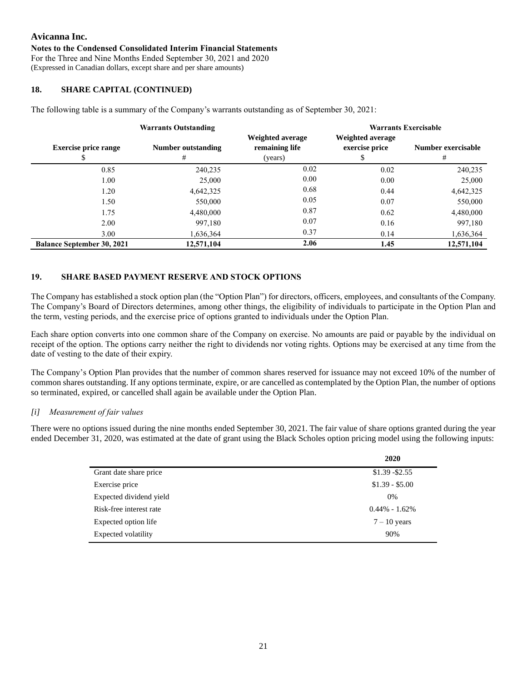#### **Notes to the Condensed Consolidated Interim Financial Statements**

For the Three and Nine Months Ended September 30, 2021 and 2020 (Expressed in Canadian dollars, except share and per share amounts)

### **18. SHARE CAPITAL (CONTINUED)**

The following table is a summary of the Company's warrants outstanding as of September 30, 2021:

| <b>Warrants Outstanding</b>       |                         |                                               | <b>Warrants Exercisable</b>        |                         |  |  |  |
|-----------------------------------|-------------------------|-----------------------------------------------|------------------------------------|-------------------------|--|--|--|
| <b>Exercise price range</b>       | Number outstanding<br># | Weighted average<br>remaining life<br>(years) | Weighted average<br>exercise price | Number exercisable<br># |  |  |  |
| 0.85                              | 240,235                 | 0.02                                          | 0.02                               | 240,235                 |  |  |  |
| 1.00                              | 25,000                  | 0.00                                          | 0.00                               | 25,000                  |  |  |  |
| 1.20                              | 4,642,325               | 0.68                                          | 0.44                               | 4,642,325               |  |  |  |
| 1.50                              | 550,000                 | 0.05                                          | 0.07                               | 550,000                 |  |  |  |
| 1.75                              | 4,480,000               | 0.87                                          | 0.62                               | 4,480,000               |  |  |  |
| 2.00                              | 997.180                 | 0.07                                          | 0.16                               | 997,180                 |  |  |  |
| 3.00                              | 1,636,364               | 0.37                                          | 0.14                               | 1,636,364               |  |  |  |
| <b>Balance September 30, 2021</b> | 12,571,104              | 2.06                                          | 1.45                               | 12,571,104              |  |  |  |

# **19. SHARE BASED PAYMENT RESERVE AND STOCK OPTIONS**

The Company has established a stock option plan (the "Option Plan") for directors, officers, employees, and consultants of the Company. The Company's Board of Directors determines, among other things, the eligibility of individuals to participate in the Option Plan and the term, vesting periods, and the exercise price of options granted to individuals under the Option Plan.

Each share option converts into one common share of the Company on exercise. No amounts are paid or payable by the individual on receipt of the option. The options carry neither the right to dividends nor voting rights. Options may be exercised at any time from the date of vesting to the date of their expiry.

The Company's Option Plan provides that the number of common shares reserved for issuance may not exceed 10% of the number of common shares outstanding. If any options terminate, expire, or are cancelled as contemplated by the Option Plan, the number of options so terminated, expired, or cancelled shall again be available under the Option Plan.

### *[i] Measurement of fair values*

There were no options issued during the nine months ended September 30, 2021. The fair value of share options granted during the year ended December 31, 2020, was estimated at the date of grant using the Black Scholes option pricing model using the following inputs:

|                            | 2020              |
|----------------------------|-------------------|
| Grant date share price     | $$1.39 - $2.55$   |
| Exercise price             | $$1.39 - $5.00$   |
| Expected dividend yield    | $0\%$             |
| Risk-free interest rate    | $0.44\% - 1.62\%$ |
| Expected option life       | $7 - 10$ years    |
| <b>Expected volatility</b> | 90%               |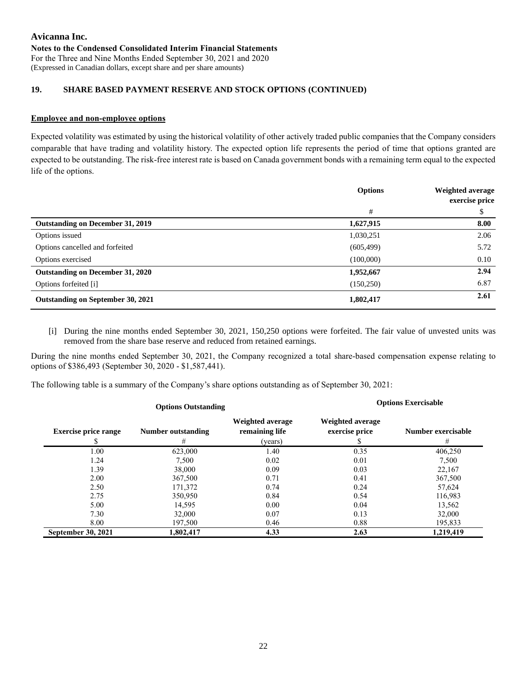#### **Avicanna Inc. Notes to the Condensed Consolidated Interim Financial Statements** For the Three and Nine Months Ended September 30, 2021 and 2020 (Expressed in Canadian dollars, except share and per share amounts)

## **19. SHARE BASED PAYMENT RESERVE AND STOCK OPTIONS (CONTINUED)**

#### **Employee and non-employee options**

Expected volatility was estimated by using the historical volatility of other actively traded public companies that the Company considers comparable that have trading and volatility history. The expected option life represents the period of time that options granted are expected to be outstanding. The risk-free interest rate is based on Canada government bonds with a remaining term equal to the expected life of the options.

|                                         | <b>Options</b> | Weighted average<br>exercise price |  |
|-----------------------------------------|----------------|------------------------------------|--|
|                                         | #              | \$                                 |  |
| <b>Outstanding on December 31, 2019</b> | 1,627,915      | 8.00                               |  |
| Options issued                          | 1,030,251      | 2.06                               |  |
| Options cancelled and forfeited         | (605, 499)     | 5.72                               |  |
| Options exercised                       | (100,000)      | 0.10                               |  |
| Outstanding on December 31, 2020        | 1,952,667      | 2.94                               |  |
| Options forfeited [i]                   | (150, 250)     | 6.87                               |  |
| Outstanding on September 30, 2021       | 1,802,417      | 2.61                               |  |

[i] During the nine months ended September 30, 2021, 150,250 options were forfeited. The fair value of unvested units was removed from the share base reserve and reduced from retained earnings.

During the nine months ended September 30, 2021, the Company recognized a total share-based compensation expense relating to options of \$386,493 (September 30, 2020 - \$1,587,441).

The following table is a summary of the Company's share options outstanding as of September 30, 2021:

| <b>Options Outstanding</b>  |                         |                                               |                                           | <b>Options Exercisable</b> |
|-----------------------------|-------------------------|-----------------------------------------------|-------------------------------------------|----------------------------|
| <b>Exercise price range</b> | Number outstanding<br># | Weighted average<br>remaining life<br>(years) | <b>Weighted average</b><br>exercise price | Number exercisable<br>#    |
| 1.00                        | 623,000                 | 1.40                                          | 0.35                                      | 406,250                    |
| 1.24                        | 7.500                   | 0.02                                          | 0.01                                      | 7,500                      |
| 1.39                        | 38,000                  | 0.09                                          | 0.03                                      | 22,167                     |
| 2.00                        | 367,500                 | 0.71                                          | 0.41                                      | 367,500                    |
| 2.50                        | 171,372                 | 0.74                                          | 0.24                                      | 57,624                     |
| 2.75                        | 350,950                 | 0.84                                          | 0.54                                      | 116,983                    |
| 5.00                        | 14,595                  | 0.00                                          | 0.04                                      | 13,562                     |
| 7.30                        | 32,000                  | 0.07                                          | 0.13                                      | 32,000                     |
| 8.00                        | 197,500                 | 0.46                                          | 0.88                                      | 195,833                    |
| <b>September 30, 2021</b>   | 1,802,417               | 4.33                                          | 2.63                                      | 1,219,419                  |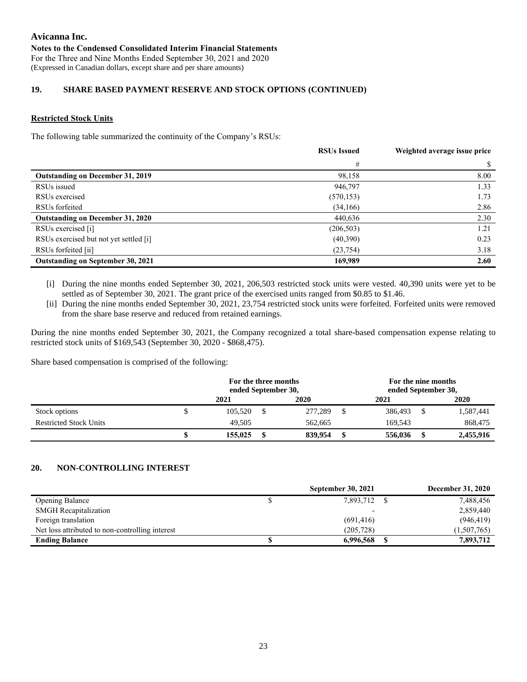#### **Avicanna Inc. Notes to the Condensed Consolidated Interim Financial Statements** For the Three and Nine Months Ended September 30, 2021 and 2020 (Expressed in Canadian dollars, except share and per share amounts)

## **19. SHARE BASED PAYMENT RESERVE AND STOCK OPTIONS (CONTINUED)**

## **Restricted Stock Units**

The following table summarized the continuity of the Company's RSUs:

|                                          | <b>RSUs Issued</b> | Weighted average issue price |
|------------------------------------------|--------------------|------------------------------|
|                                          | #                  |                              |
| Outstanding on December 31, 2019         | 98,158             | 8.00                         |
| RSUs issued                              | 946,797            | 1.33                         |
| RSU <sub>s</sub> exercised               | (570, 153)         | 1.73                         |
| RSU <sub>s</sub> forfeited               | (34,166)           | 2.86                         |
| Outstanding on December 31, 2020         | 440,636            | 2.30                         |
| RSUs exercised [i]                       | (206, 503)         | 1.21                         |
| RSUs exercised but not yet settled [i]   | (40,390)           | 0.23                         |
| RSUs forfeited [ii]                      | (23, 754)          | 3.18                         |
| <b>Outstanding on September 30, 2021</b> | 169,989            | 2.60                         |

- [i] During the nine months ended September 30, 2021, 206,503 restricted stock units were vested. 40,390 units were yet to be settled as of September 30, 2021. The grant price of the exercised units ranged from \$0.85 to \$1.46.
- [ii] During the nine months ended September 30, 2021, 23,754 restricted stock units were forfeited. Forfeited units were removed from the share base reserve and reduced from retained earnings.

During the nine months ended September 30, 2021, the Company recognized a total share-based compensation expense relating to restricted stock units of \$169,543 (September 30, 2020 - \$868,475).

Share based compensation is comprised of the following:

|                               | For the three months<br>ended September 30, |  |         | For the nine months<br>ended September 30, |  |           |
|-------------------------------|---------------------------------------------|--|---------|--------------------------------------------|--|-----------|
|                               | 2021                                        |  | 2020    | 2021                                       |  | 2020      |
| Stock options                 | 105.520                                     |  | 277,289 | 386,493                                    |  | 1,587,441 |
| <b>Restricted Stock Units</b> | 49.505                                      |  | 562,665 | 169.543                                    |  | 868,475   |
|                               | 155,025                                     |  | 839,954 | 556,036                                    |  | 2,455,916 |

### **20. NON-CONTROLLING INTEREST**

|                                                 | <b>September 30, 2021</b> | <b>December 31, 2020</b> |
|-------------------------------------------------|---------------------------|--------------------------|
| <b>Opening Balance</b>                          | 7,893,712                 | 7,488,456                |
| <b>SMGH</b> Recapitalization                    |                           | 2,859,440                |
| Foreign translation                             | (691, 416)                | (946, 419)               |
| Net loss attributed to non-controlling interest | (205, 728)                | (1,507,765)              |
| <b>Ending Balance</b>                           | 6,996,568                 | 7,893,712                |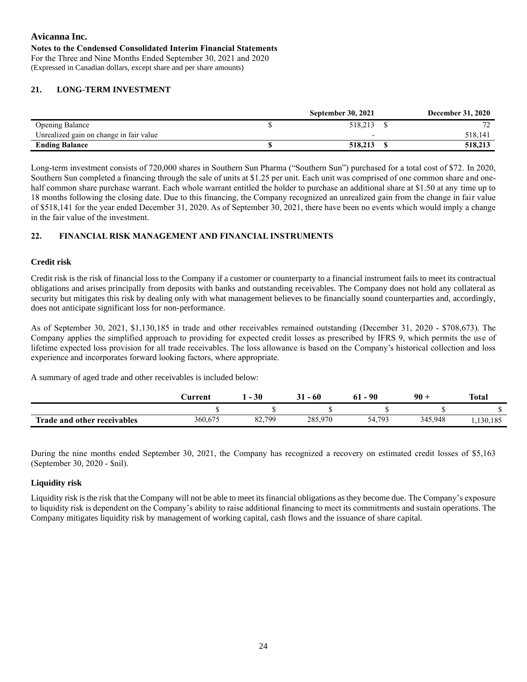For the Three and Nine Months Ended September 30, 2021 and 2020 (Expressed in Canadian dollars, except share and per share amounts)

# **21. LONG-TERM INVESTMENT**

|                                         | <b>September 30, 2021</b> | <b>December 31, 2020</b> |
|-----------------------------------------|---------------------------|--------------------------|
| <b>Opening Balance</b>                  | 518.213                   |                          |
| Unrealized gain on change in fair value |                           | 518,14                   |
| <b>Ending Balance</b>                   | 518,213                   | 518,213                  |

Long-term investment consists of 720,000 shares in Southern Sun Pharma ("Southern Sun") purchased for a total cost of \$72. In 2020, Southern Sun completed a financing through the sale of units at \$1.25 per unit. Each unit was comprised of one common share and onehalf common share purchase warrant. Each whole warrant entitled the holder to purchase an additional share at \$1.50 at any time up to 18 months following the closing date. Due to this financing, the Company recognized an unrealized gain from the change in fair value of \$518,141 for the year ended December 31, 2020. As of September 30, 2021, there have been no events which would imply a change in the fair value of the investment.

# **22. FINANCIAL RISK MANAGEMENT AND FINANCIAL INSTRUMENTS**

# **Credit risk**

Credit risk is the risk of financial loss to the Company if a customer or counterparty to a financial instrument fails to meet its contractual obligations and arises principally from deposits with banks and outstanding receivables. The Company does not hold any collateral as security but mitigates this risk by dealing only with what management believes to be financially sound counterparties and, accordingly, does not anticipate significant loss for non-performance.

As of September 30, 2021, \$1,130,185 in trade and other receivables remained outstanding (December 31, 2020 - \$708,673). The Company applies the simplified approach to providing for expected credit losses as prescribed by IFRS 9, which permits the use of lifetime expected loss provision for all trade receivables. The loss allowance is based on the Company's historical collection and loss experience and incorporates forward looking factors, where appropriate.

A summary of aged trade and other receivables is included below:

|                             | <b>∶urrent</b> | 30                       | - 60<br>Jı | 90<br>61 - | $90 +$  | <b>Total</b> |
|-----------------------------|----------------|--------------------------|------------|------------|---------|--------------|
|                             |                |                          |            |            |         |              |
| Trade and other receivables | 360,675        | 82,799<br>$0\frac{2}{3}$ | 285,970    | 54,793     | 345,948 | 1,130,185    |

During the nine months ended September 30, 2021, the Company has recognized a recovery on estimated credit losses of \$5,163 (September 30, 2020 - \$nil).

# **Liquidity risk**

Liquidity risk is the risk that the Company will not be able to meet its financial obligations as they become due. The Company's exposure to liquidity risk is dependent on the Company's ability to raise additional financing to meet its commitments and sustain operations. The Company mitigates liquidity risk by management of working capital, cash flows and the issuance of share capital.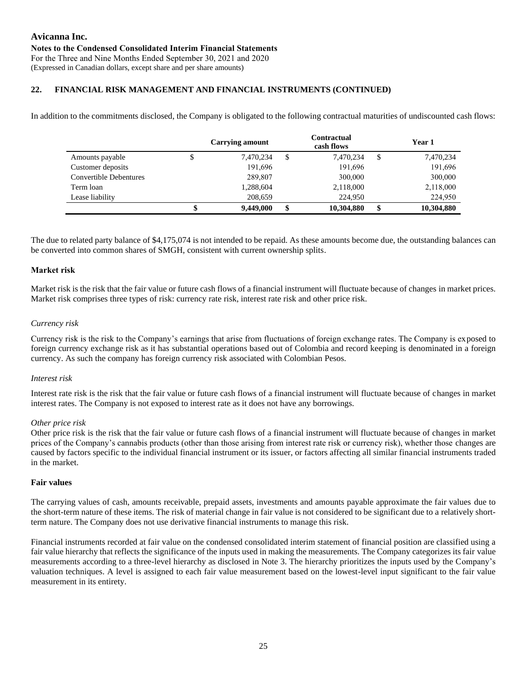## **22. FINANCIAL RISK MANAGEMENT AND FINANCIAL INSTRUMENTS (CONTINUED)**

In addition to the commitments disclosed, the Company is obligated to the following contractual maturities of undiscounted cash flows:

|                               | <b>Carrying amount</b> | <b>Contractual</b><br>cash flows | Year 1           |
|-------------------------------|------------------------|----------------------------------|------------------|
| Amounts payable               | 7,470,234              | \$<br>7,470,234                  | \$<br>7,470,234  |
| Customer deposits             | 191,696                | 191,696                          | 191,696          |
| <b>Convertible Debentures</b> | 289,807                | 300,000                          | 300,000          |
| Term loan                     | 1,288,604              | 2,118,000                        | 2,118,000        |
| Lease liability               | 208,659                | 224,950                          | 224,950          |
|                               | \$<br>9,449,000        | \$<br>10,304,880                 | \$<br>10,304,880 |

The due to related party balance of \$4,175,074 is not intended to be repaid. As these amounts become due, the outstanding balances can be converted into common shares of SMGH, consistent with current ownership splits.

#### **Market risk**

Market risk is the risk that the fair value or future cash flows of a financial instrument will fluctuate because of changes in market prices. Market risk comprises three types of risk: currency rate risk, interest rate risk and other price risk.

#### *Currency risk*

Currency risk is the risk to the Company's earnings that arise from fluctuations of foreign exchange rates. The Company is exposed to foreign currency exchange risk as it has substantial operations based out of Colombia and record keeping is denominated in a foreign currency. As such the company has foreign currency risk associated with Colombian Pesos.

#### *Interest risk*

Interest rate risk is the risk that the fair value or future cash flows of a financial instrument will fluctuate because of changes in market interest rates. The Company is not exposed to interest rate as it does not have any borrowings.

#### *Other price risk*

Other price risk is the risk that the fair value or future cash flows of a financial instrument will fluctuate because of changes in market prices of the Company's cannabis products (other than those arising from interest rate risk or currency risk), whether those changes are caused by factors specific to the individual financial instrument or its issuer, or factors affecting all similar financial instruments traded in the market.

#### **Fair values**

The carrying values of cash, amounts receivable, prepaid assets, investments and amounts payable approximate the fair values due to the short-term nature of these items. The risk of material change in fair value is not considered to be significant due to a relatively shortterm nature. The Company does not use derivative financial instruments to manage this risk.

Financial instruments recorded at fair value on the condensed consolidated interim statement of financial position are classified using a fair value hierarchy that reflects the significance of the inputs used in making the measurements. The Company categorizes its fair value measurements according to a three-level hierarchy as disclosed in Note 3. The hierarchy prioritizes the inputs used by the Company's valuation techniques. A level is assigned to each fair value measurement based on the lowest-level input significant to the fair value measurement in its entirety.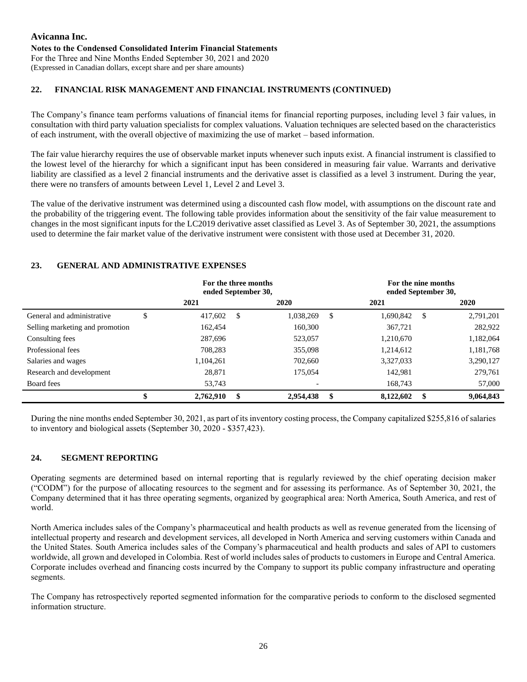# **Avicanna Inc. Notes to the Condensed Consolidated Interim Financial Statements** For the Three and Nine Months Ended September 30, 2021 and 2020

(Expressed in Canadian dollars, except share and per share amounts)

## **22. FINANCIAL RISK MANAGEMENT AND FINANCIAL INSTRUMENTS (CONTINUED)**

The Company's finance team performs valuations of financial items for financial reporting purposes, including level 3 fair values, in consultation with third party valuation specialists for complex valuations. Valuation techniques are selected based on the characteristics of each instrument, with the overall objective of maximizing the use of market – based information.

The fair value hierarchy requires the use of observable market inputs whenever such inputs exist. A financial instrument is classified to the lowest level of the hierarchy for which a significant input has been considered in measuring fair value. Warrants and derivative liability are classified as a level 2 financial instruments and the derivative asset is classified as a level 3 instrument. During the year, there were no transfers of amounts between Level 1, Level 2 and Level 3.

The value of the derivative instrument was determined using a discounted cash flow model, with assumptions on the discount rate and the probability of the triggering event. The following table provides information about the sensitivity of the fair value measurement to changes in the most significant inputs for the LC2019 derivative asset classified as Level 3. As of September 30, 2021, the assumptions used to determine the fair market value of the derivative instrument were consistent with those used at December 31, 2020.

## **23. GENERAL AND ADMINISTRATIVE EXPENSES**

|                                 | For the three months<br>ended September 30, |    |           | For the nine months<br>ended September 30, |           |    |           |  |  |
|---------------------------------|---------------------------------------------|----|-----------|--------------------------------------------|-----------|----|-----------|--|--|
|                                 | 2021                                        |    | 2020      |                                            | 2021      |    | 2020      |  |  |
| General and administrative      | \$<br>417,602                               | S  | 1,038,269 | S.                                         | 1,690,842 | -S | 2,791,201 |  |  |
| Selling marketing and promotion | 162.454                                     |    | 160,300   |                                            | 367,721   |    | 282,922   |  |  |
| Consulting fees                 | 287,696                                     |    | 523,057   |                                            | 1,210,670 |    | 1,182,064 |  |  |
| Professional fees               | 708.283                                     |    | 355,098   |                                            | 1,214,612 |    | 1,181,768 |  |  |
| Salaries and wages              | 1.104.261                                   |    | 702,660   |                                            | 3,327,033 |    | 3,290,127 |  |  |
| Research and development        | 28,871                                      |    | 175,054   |                                            | 142.981   |    | 279,761   |  |  |
| Board fees                      | 53,743                                      |    |           |                                            | 168.743   |    | 57,000    |  |  |
|                                 | 2,762,910                                   | \$ | 2,954,438 | -\$                                        | 8,122,602 | \$ | 9,064,843 |  |  |

During the nine months ended September 30, 2021, as part of its inventory costing process, the Company capitalized \$255,816 of salaries to inventory and biological assets (September 30, 2020 - \$357,423).

### **24. SEGMENT REPORTING**

Operating segments are determined based on internal reporting that is regularly reviewed by the chief operating decision maker ("CODM") for the purpose of allocating resources to the segment and for assessing its performance. As of September 30, 2021, the Company determined that it has three operating segments, organized by geographical area: North America, South America, and rest of world.

North America includes sales of the Company's pharmaceutical and health products as well as revenue generated from the licensing of intellectual property and research and development services, all developed in North America and serving customers within Canada and the United States. South America includes sales of the Company's pharmaceutical and health products and sales of API to customers worldwide, all grown and developed in Colombia. Rest of world includes sales of products to customers in Europe and Central America. Corporate includes overhead and financing costs incurred by the Company to support its public company infrastructure and operating segments.

The Company has retrospectively reported segmented information for the comparative periods to conform to the disclosed segmented information structure.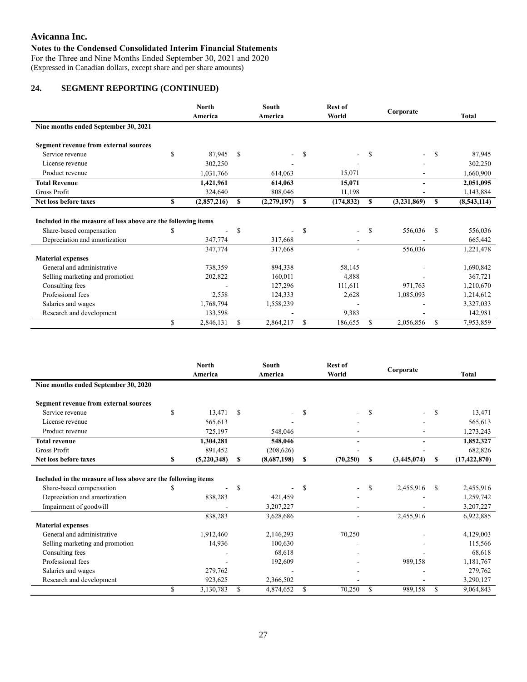For the Three and Nine Months Ended September 30, 2021 and 2020 (Expressed in Canadian dollars, except share and per share amounts)

# **24. SEGMENT REPORTING (CONTINUED)**

|                                                               |               | <b>North</b><br>America |    | <b>South</b><br>America |   | <b>Rest of</b><br>World |               | Corporate                |               | <b>Total</b> |
|---------------------------------------------------------------|---------------|-------------------------|----|-------------------------|---|-------------------------|---------------|--------------------------|---------------|--------------|
| Nine months ended September 30, 2021                          |               |                         |    |                         |   |                         |               |                          |               |              |
| Segment revenue from external sources                         |               |                         |    |                         |   |                         |               |                          |               |              |
| Service revenue                                               | <sup>\$</sup> | 87,945                  | \$ |                         | S | $\sim$                  | \$            | $\overline{\phantom{0}}$ | <sup>\$</sup> | 87,945       |
| License revenue                                               |               | 302,250                 |    |                         |   |                         |               |                          |               | 302,250      |
| Product revenue                                               |               | 1,031,766               |    | 614,063                 |   | 15,071                  |               |                          |               | 1,660,900    |
| <b>Total Revenue</b>                                          |               | 1,421,961               |    | 614,063                 |   | 15,071                  |               | ٠                        |               | 2,051,095    |
| Gross Profit                                                  |               | 324,640                 |    | 808,046                 |   | 11,198                  |               |                          |               | 1,143,884    |
| Net loss before taxes                                         | S             | (2,857,216)             | S  | (2,279,197)             | S | (174, 832)              | S             | (3,231,869)              | S             | (8,543,114)  |
|                                                               |               |                         |    |                         |   |                         |               |                          |               |              |
| Included in the measure of loss above are the following items |               |                         |    |                         |   |                         |               |                          |               |              |
| Share-based compensation                                      |               | ٠                       | S  |                         | S | $\sim$                  | <sup>\$</sup> | 556,036                  | \$.           | 556,036      |
| Depreciation and amortization                                 |               | 347,774                 |    | 317,668                 |   |                         |               |                          |               | 665,442      |
|                                                               |               | 347,774                 |    | 317,668                 |   |                         |               | 556,036                  |               | 1,221,478    |
| <b>Material expenses</b>                                      |               |                         |    |                         |   |                         |               |                          |               |              |
| General and administrative                                    |               | 738,359                 |    | 894,338                 |   | 58,145                  |               |                          |               | 1,690,842    |
| Selling marketing and promotion                               |               | 202,822                 |    | 160,011                 |   | 4,888                   |               |                          |               | 367,721      |
| Consulting fees                                               |               |                         |    | 127,296                 |   | 111,611                 |               | 971,763                  |               | 1,210,670    |
| Professional fees                                             |               | 2,558                   |    | 124,333                 |   | 2,628                   |               | 1,085,093                |               | 1,214,612    |
| Salaries and wages                                            |               | 1,768,794               |    | 1,558,239               |   |                         |               |                          |               | 3,327,033    |
| Research and development                                      |               | 133,598                 |    |                         |   | 9,383                   |               |                          |               | 142,981      |
|                                                               | <sup>\$</sup> | 2,846,131               | \$ | 2,864,217               | S | 186,655                 | S             | 2,056,856                | \$            | 7,953,859    |

|                                                               |    | North<br>America |               | South<br>America |    | <b>Rest of</b><br>World |    | Corporate   |    | <b>Total</b>   |
|---------------------------------------------------------------|----|------------------|---------------|------------------|----|-------------------------|----|-------------|----|----------------|
| Nine months ended September 30, 2020                          |    |                  |               |                  |    |                         |    |             |    |                |
| <b>Segment revenue from external sources</b>                  |    |                  |               |                  |    |                         |    |             |    |                |
| Service revenue                                               | S  | 13,471           | S             |                  | S  |                         | S  | ٠           | S  | 13,471         |
| License revenue                                               |    | 565,613          |               |                  |    |                         |    |             |    | 565,613        |
| Product revenue                                               |    | 725,197          |               | 548,046          |    |                         |    |             |    | 1,273,243      |
| <b>Total revenue</b>                                          |    | 1,304,281        |               | 548,046          |    |                         |    |             |    | 1,852,327      |
| Gross Profit                                                  |    | 891,452          |               | (208, 626)       |    |                         |    |             |    | 682,826        |
| Net loss before taxes                                         | \$ | (5,220,348)      | S             | (8,687,198)      | S  | (70, 250)               | S  | (3,445,074) | S  | (17, 422, 870) |
| Included in the measure of loss above are the following items |    |                  |               |                  |    |                         |    |             |    |                |
| Share-based compensation                                      | S  |                  | <sup>\$</sup> |                  | \$ |                         | \$ | 2,455,916   | S  | 2,455,916      |
| Depreciation and amortization                                 |    | 838,283          |               | 421,459          |    |                         |    |             |    | 1,259,742      |
| Impairment of goodwill                                        |    |                  |               | 3,207,227        |    |                         |    |             |    | 3,207,227      |
|                                                               |    | 838,283          |               | 3,628,686        |    |                         |    | 2,455,916   |    | 6,922,885      |
| <b>Material expenses</b>                                      |    |                  |               |                  |    |                         |    |             |    |                |
| General and administrative                                    |    | 1,912,460        |               | 2,146,293        |    | 70,250                  |    |             |    | 4,129,003      |
| Selling marketing and promotion                               |    | 14,936           |               | 100,630          |    |                         |    |             |    | 115,566        |
| Consulting fees                                               |    |                  |               | 68,618           |    |                         |    |             |    | 68,618         |
| Professional fees                                             |    |                  |               | 192,609          |    |                         |    | 989,158     |    | 1,181,767      |
| Salaries and wages                                            |    | 279,762          |               |                  |    |                         |    |             |    | 279,762        |
| Research and development                                      |    | 923,625          |               | 2,366,502        |    |                         |    |             |    | 3,290,127      |
|                                                               | \$ | 3,130,783        | \$            | 4,874,652        | \$ | 70,250                  | \$ | 989,158     | \$ | 9,064,843      |